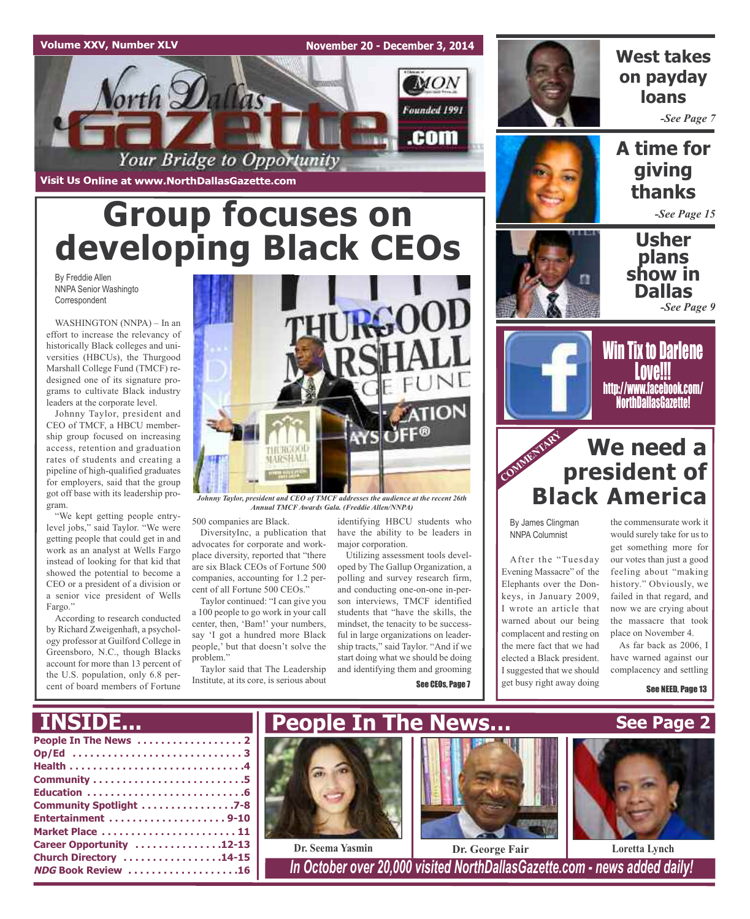### **Volume XXV, Number XLV**

**November 20 - December 3, 2014**



**Visit Us Online at www.NorthDallasGazette.com**

## **Group focuses on developing Black CEOs**

By Freddie Allen NNPA Senior Washingto **Correspondent** 

WASHINGTON (NNPA) – In an effort to increase the relevancy of historically Black colleges and universities (HBCUs), the Thurgood Marshall College Fund (TMCF) redesigned one of its signature programs to cultivate Black industry leaders at the corporate level.

Johnny Taylor, president and CEO of TMCF, a HBCU membership group focused on increasing access, retention and graduation rates of students and creating a pipeline of high-qualified graduates for employers, said that the group got off base with its leadership program.

"We kept getting people entrylevel jobs," said Taylor. "We were getting people that could get in and work as an analyst at Wells Fargo instead of looking for that kid that showed the potential to become a CEO or a president of a division or a senior vice president of Wells Fargo."

According to research conducted by Richard Zweigenhaft, a psychology professor at Guilford College in Greensboro, N.C., though Blacks account for more than 13 percent of the U.S. population, only 6.8 percent of board members of Fortune



*Johnny Taylor, president and CEO of TMCF addresses the audience at the recent 26th Annual TMCF Awards Gala. (Freddie Allen/NNPA)*

500 companies are Black.

DiversityInc, a publication that advocates for corporate and workplace diversity, reported that "there are six Black CEOs of Fortune 500 companies, accounting for 1.2 percent of all Fortune 500 CEOs."

Taylor continued: "I can give you a 100 people to go work in your call center, then, 'Bam!' your numbers, say 'I got a hundred more Black people,' but that doesn't solve the problem."

Taylor said that The Leadership Institute, at its core, is serious about

identifying HBCU students who have the ability to be leaders in major corporation.

Utilizing assessment tools developed by The Gallup Organization, a polling and survey research firm, and conducting one-on-one in-person interviews, TMCF identified students that "have the skills, the mindset, the tenacity to be successful in large organizations on leadership tracts," said Taylor. "And if we start doing what we should be doing and identifying them and grooming

See CEOs, Page 7



**West takes on payday loans**

*-See Page 7*





**Usher plans show in Dallas** *-See Page 9*



Win Tix to Darlene Love!!! http://www.facebook.com/ NorthDallasGazette!

## **COMMENTARY We need a president of Black America**

By James Clingman NNPA Columnist

After the "Tuesday Evening Massacre" of the Elephants over the Donkeys, in January 2009, I wrote an article that warned about our being complacent and resting on the mere fact that we had elected a Black president. I suggested that we should get busy right away doing

the commensurate work it would surely take for us to get something more for our votes than just a good feeling about "making history." Obviously, we failed in that regard, and now we are crying about the massacre that took place on November 4.

As far back as 2006, I have warned against our complacency and settling

See NEED, Page 13

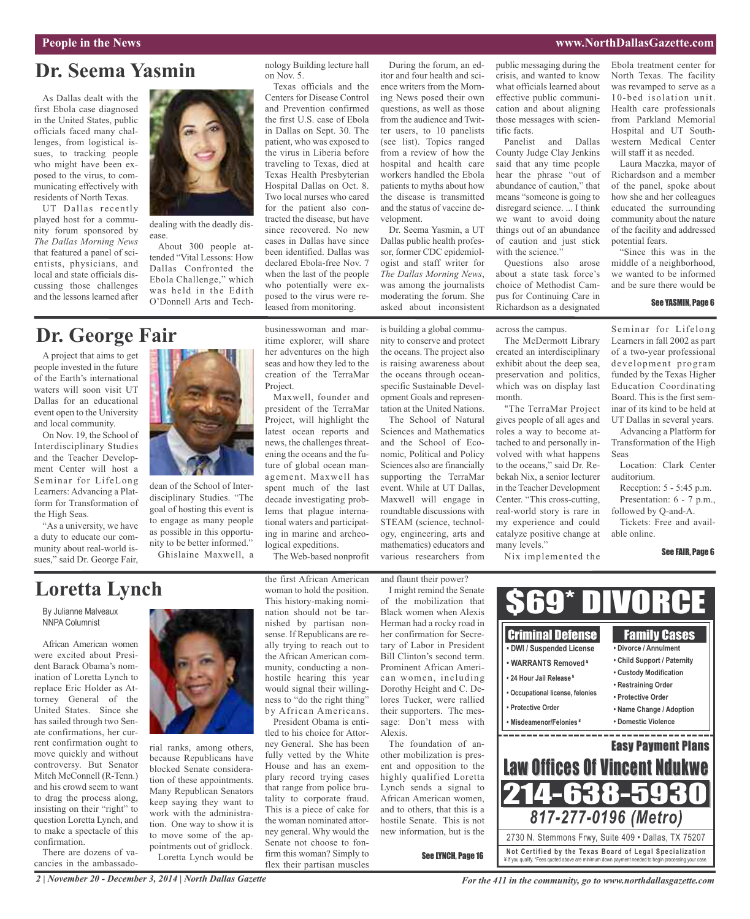### **People in the News www.NorthDallasGazette.com**

## **Dr. Seema Yasmin**

As Dallas dealt with the first Ebola case diagnosed in the United States, public officials faced many challenges, from logistical issues, to tracking people who might have been exposed to the virus, to communicating effectively with residents of North Texas.

UT Dallas recently played host for a community forum sponsored by *The Dallas Morning News* that featured a panel of scientists, physicians, and local and state officials discussing those challenges and the lessons learned after



dealing with the deadly disease.

About 300 people attended "Vital Lessons: How Dallas Confronted the Ebola Challenge," which was held in the Edith O'Donnell Arts and Tech-

### **Dr. George Fair**

A project that aims to get people invested in the future of the Earth's international waters will soon visit UT Dallas for an educational event open to the University and local community.

On Nov. 19, the School of Interdisciplinary Studies and the Teacher Development Center will host a Seminar for LifeLong Learners: Advancing a Platform for Transformation of the High Seas.

"As a university, we have a duty to educate our community about real-world issues," said Dr. George Fair,



dean of the School of Interdisciplinary Studies. "The goal of hosting this event is to engage as many people as possible in this opportunity to be better informed." Ghislaine Maxwell, a

businesswoman and maritime explorer, will share her adventures on the high seas and how they led to the creation of the TerraMar Project.

nology Building lecture hall

Texas officials and the Centers for Disease Control and Prevention confirmed the first U.S. case of Ebola in Dallas on Sept. 30. The patient, who was exposed to the virus in Liberia before traveling to Texas, died at Texas Health Presbyterian Hospital Dallas on Oct. 8. Two local nurses who cared for the patient also contracted the disease, but have since recovered. No new cases in Dallas have since been identified. Dallas was declared Ebola-free Nov. 7 when the last of the people who potentially were exposed to the virus were released from monitoring.

on Nov. 5.

Maxwell, founder and president of the TerraMar Project, will highlight the latest ocean reports and news, the challenges threatening the oceans and the future of global ocean management. Maxwell has spent much of the last decade investigating problems that plague international waters and participating in marine and archeological expeditions.

The Web-based nonprofit

During the forum, an editor and four health and science writers from the Morning News posed their own questions, as well as those from the audience and Twitter users, to 10 panelists (see list). Topics ranged from a review of how the hospital and health care workers handled the Ebola patients to myths about how the disease is transmitted and the status of vaccine development.

Dr. Seema Yasmin, a UT Dallas public health professor, former CDC epidemiologist and staff writer for *The Dallas Morning News*, was among the journalists moderating the forum. She asked about inconsistent

is building a global community to conserve and protect the oceans. The project also is raising awareness about the oceans through oceanspecific Sustainable Development Goals and representation at the United Nations.

The School of Natural Sciences and Mathematics and the School of Economic, Political and Policy Sciences also are financially supporting the TerraMar event. While at UT Dallas, Maxwell will engage in roundtable discussions with STEAM (science, technology, engineering, arts and mathematics) educators and various researchers from

public messaging during the crisis, and wanted to know what officials learned about effective public communication and about aligning those messages with scientific facts.

Panelist and Dallas County Judge Clay Jenkins said that any time people hear the phrase "out of abundance of caution," that means "someone is going to disregard science. ... I think we want to avoid doing things out of an abundance of caution and just stick with the science."

Questions also arose about a state task force's choice of Methodist Campus for Continuing Care in Richardson as a designated

across the campus.

The McDermott Library created an interdisciplinary exhibit about the deep sea, preservation and politics, which was on display last month.

"The TerraMar Project gives people of all ages and roles a way to become attached to and personally involved with what happens to the oceans," said Dr. Rebekah Nix, a senior lecturer in the Teacher Development Center. "This cross-cutting, real-world story is rare in my experience and could catalyze positive change at many levels."

Nix implemented the

Ebola treatment center for North Texas. The facility was revamped to serve as a 10-bed isolation unit. Health care professionals from Parkland Memorial Hospital and UT Southwestern Medical Center will staff it as needed.

Laura Maczka, mayor of Richardson and a member of the panel, spoke about how she and her colleagues educated the surrounding community about the nature of the facility and addressed potential fears.

"Since this was in the middle of a neighborhood, we wanted to be informed and be sure there would be

#### See YASMIN, Page 6

Seminar for Lifelong Learners in fall 2002 as part of a two-year professional development program funded by the Texas Higher Education Coordinating Board. This is the first seminar of its kind to be held at UT Dallas in several years.

Advancing a Platform for Transformation of the High Seas

Location: Clark Center auditorium.

Reception: 5 - 5:45 p.m. Presentation: 6 - 7 p.m., followed by Q-and-A.

Tickets: Free and available online.

#### See FAIR, Page 6

## **Loretta Lynch**

By Julianne Malveaux NNPA Columnist

African American women were excited about President Barack Obama's nomination of Loretta Lynch to replace Eric Holder as Attorney General of the United States. Since she has sailed through two Senate confirmations, her current confirmation ought to move quickly and without controversy. But Senator Mitch McConnell (R-Tenn.) and his crowd seem to want to drag the process along, insisting on their "right" to question Loretta Lynch, and to make a spectacle of this confirmation.

There are dozens of vacancies in the ambassado-



rial ranks, among others, because Republicans have blocked Senate consideration of these appointments. Many Republican Senators keep saying they want to work with the administration. One way to show it is to move some of the appointments out of gridlock. Loretta Lynch would be the first African American woman to hold the position. This history-making nomination should not be tarnished by partisan nonsense. If Republicans are really trying to reach out to the African American community, conducting a nonhostile hearing this year would signal their willingness to "do the right thing" by African Americans.

President Obama is entitled to his choice for Attorney General. She has been fully vetted by the White House and has an exemplary record trying cases that range from police brutality to corporate fraud. This is a piece of cake for the woman nominated attorney general. Why would the Senate not choose to fonfirm this woman? Simply to flex their partisan muscles

and flaunt their power? I might remind the Senate of the mobilization that Black women when Alexis Herman had a rocky road in her confirmation for Secretary of Labor in President Bill Clinton's second term. Prominent African American women, including Dorothy Height and C. Delores Tucker, were rallied their supporters. The mes-

Alexis. The foundation of another mobilization is present and opposition to the highly qualified Loretta Lynch sends a signal to African American women, and to others, that this is a hostile Senate. This is not new information, but is the

See LYNCH, Page 16

 $\left[\begin{array}{c|c} H & H \\ H & H \end{array}\right] \cup \left[\begin{array}{c|c} H & H \\ H & H \end{array}\right]$ Criminal Defense Family Cases **• DWI / Suspended License • Divorce / Annulment • Child Support / Paternity • WARRANTS Removed ¥ • Custody Modification • 24 Hour Jail Release ¥ • Restraining Order • Occupational license, felonies • Protective Order • Protective Order • Name Change / Adoption** sage: Don't mess with **• Misdeamenor/Felonies ¥ • Domestic Violence** and the control of the control of the control of the control of the control of \_\_\_\_\_\_\_\_\_\_\_\_ Easy Payment Plans Law Offices Of Vincent Ndukwe 214-638-5930 *817-277-0196 (Metro)* 2730 N. Stemmons Frwy, Suite 409 • Dallas, TX 75207 **Not Ce rtified by the Te x a s Boa rd of Lega l Spe c ia l i za tion** ¥ If you qualify. \*Fees quoted above are minimum down payment needed to begin processing your case.

*2 | November 20 - December 3, 2014 | North Dallas Gazette*

*For the 411 in the community, go to www.northdallasgazette.com*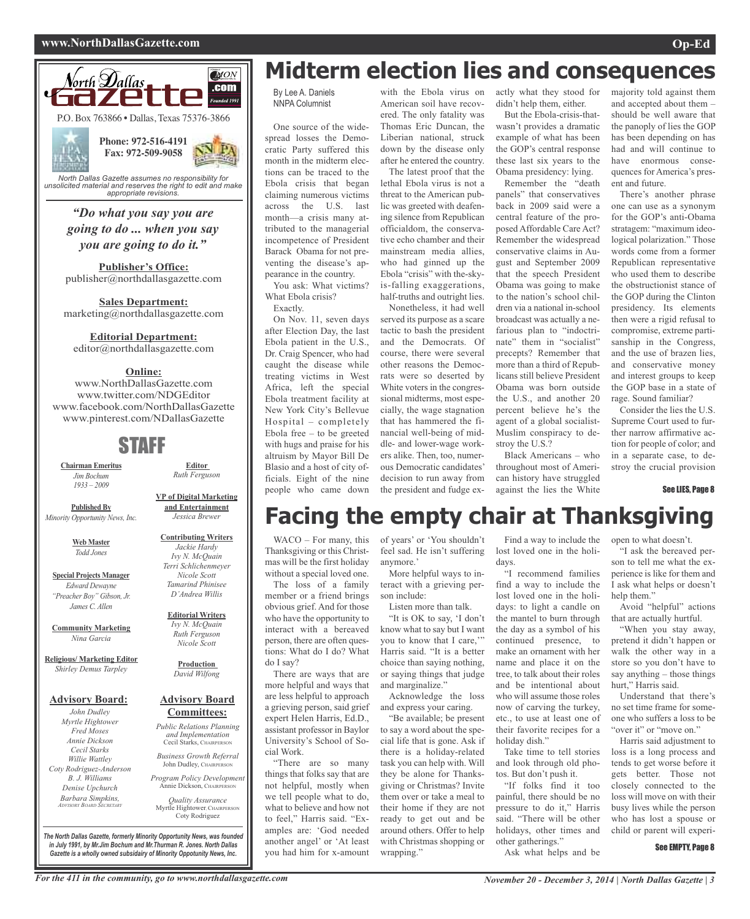### **www.NorthDallasGazette.com Op-Ed**



*unsolicited material and reserves the right to edit and make appropriate revisions.*

*"Do what you say you are going to do ... when you say you are going to do it."*

**Publisher's Office:** publisher@northdallasgazette.com

**Sales Department:** marketing@northdallasgazette.com

**Editorial Department:**

editor@northdallasgazette.com

### **Online:**

www.NorthDallasGazette.com www.twitter.com/NDGEditor www.facebook.com/NorthDallasGazette www.pinterest.com/NDallasGazette

### STAFF

**Chairman Emeritus** *Jim Bochum 1933 – 2009*

**Published By** *Minority Opportunity News, Inc.*

> **Web Master** *Todd Jones*

**Special Projects Manager** *Edward Dewayne "Preacher Boy" Gibson, Jr. James C. Allen*

**Community Marketing** *Nina Garcia*

**Religious/ Marketing Editor** *Shirley Demus Tarpley*

### **Advisory Board:**

*John Dudley Myrtle Hightower Fred Moses Annie Dickson Cecil Starks Willie Wattley Coty Rodriguez-Anderson B. J. Williams Denise Upchurch Barbara Simpkins, ADVISORY BOARD SECRETARY*

**VP of Digital Marketing and Entertainment** *Jessica Brewer*

**Editor** *Ruth Ferguson*

*Jackie Hardy Ivy N. McQuain Terri Schlichenmeyer Nicole Scott Tamarind Phinisee D'Andrea Willis*

### *Ivy N. McQuain Ruth Ferguson Nicole Scott*

**Production** *David Wilfong*

### **Committees:**

*Public Relations Planning and Implementation* Cecil Starks, CHAIRPERSON

*Business Growth Referral* John Dudley, CHAIRPERSON

*Program Policy Development* Annie Dickson, CHAIRPERS

*Quality Assurance* Myrtle Hightower, CHAIRPERSON Coty Rodriguez

**Midterm election lies and consequences**

By Lee A. Daniels NNPA Columnist

One source of the widespread losses the Democratic Party suffered this month in the midterm elections can be traced to the Ebola crisis that began claiming numerous victims across the U.S. last month—a crisis many attributed to the managerial incompetence of President Barack Obama for not preventing the disease's appearance in the country.

You ask: What victims? What Ebola crisis? Exactly.

On Nov. 11, seven days after Election Day, the last Ebola patient in the U.S., Dr. Craig Spencer, who had caught the disease while treating victims in West Africa, left the special Ebola treatment facility at New York City's Bellevue Hospital – completely Ebola free – to be greeted with hugs and praise for his altruism by Mayor Bill De Blasio and a host of city officials. Eight of the nine people who came down

with the Ebola virus on American soil have recovered. The only fatality was Thomas Eric Duncan, the Liberian national, struck down by the disease only after he entered the country.

The latest proof that the lethal Ebola virus is not a threat to the American public was greeted with deafening silence from Republican officialdom, the conservative echo chamber and their mainstream media allies, who had ginned up the Ebola "crisis" with the-skyis-falling exaggerations, half-truths and outright lies.

Nonetheless, it had well served its purpose as a scare tactic to bash the president and the Democrats. Of course, there were several other reasons the Democrats were so deserted by White voters in the congressional midterms, most especially, the wage stagnation that has hammered the financial well-being of middle- and lower-wage workers alike. Then, too, numerous Democratic candidates' decision to run away from the president and fudge exactly what they stood for didn't help them, either.

But the Ebola-crisis-thatwasn't provides a dramatic example of what has been the GOP's central response these last six years to the Obama presidency: lying.

Remember the "death panels" that conservatives back in 2009 said were a central feature of the proposed Affordable Care Act? Remember the widespread conservative claims in August and September 2009 that the speech President Obama was going to make to the nation's school children via a national in-school broadcast was actually a nefarious plan to "indoctrinate" them in "socialist" precepts? Remember that more than a third of Republicans still believe President Obama was born outside the U.S., and another 20 percent believe he's the agent of a global socialist-Muslim conspiracy to destroy the U.S.?

Black Americans – who throughout most of American history have struggled against the lies the White majority told against them and accepted about them – should be well aware that the panoply of lies the GOP has been depending on has had and will continue to have enormous consequences for America's present and future.

There's another phrase one can use as a synonym for the GOP's anti-Obama stratagem: "maximum ideological polarization." Those words come from a former Republican representative who used them to describe the obstructionist stance of the GOP during the Clinton presidency. Its elements then were a rigid refusal to compromise, extreme partisanship in the Congress, and the use of brazen lies, and conservative money and interest groups to keep the GOP base in a state of rage. Sound familiar?

Consider the lies the U.S. Supreme Court used to further narrow affirmative action for people of color; and in a separate case, to destroy the crucial provision

See LIES, Page 8

## **Facing the empty chair at Thanksgiving**

WACO – For many, this Thanksgiving or this Christmas will be the first holiday without a special loved one.

The loss of a family member or a friend brings obvious grief. And for those who have the opportunity to interact with a bereaved person, there are often questions: What do I do? What do I say?

There are ways that are more helpful and ways that are less helpful to approach a grieving person, said grief expert Helen Harris, Ed.D., assistant professor in Baylor University's School of Social Work.

"There are so many things that folks say that are not helpful, mostly when we tell people what to do, what to believe and how not to feel," Harris said. "Examples are: 'God needed another angel' or 'At least you had him for x-amount

of years' or 'You shouldn't feel sad. He isn't suffering anymore.'

More helpful ways to interact with a grieving person include:

Listen more than talk. "It is OK to say, 'I don't know what to say but I want you to know that I care," Harris said. "It is a better choice than saying nothing, or saying things that judge and marginalize."

Acknowledge the loss and express your caring.

"Be available; be present to say a word about the special life that is gone. Ask if there is a holiday-related task you can help with. Will they be alone for Thanksgiving or Christmas? Invite them over or take a meal to their home if they are not ready to get out and be around others. Offer to help with Christmas shopping or wrapping."

Find a way to include the lost loved one in the holidays.

"I recommend families find a way to include the lost loved one in the holidays: to light a candle on the mantel to burn through the day as a symbol of his continued presence, to make an ornament with her name and place it on the tree, to talk about their roles and be intentional about who will assume those roles now of carving the turkey, etc., to use at least one of their favorite recipes for a holiday dish."

Take time to tell stories and look through old photos. But don't push it.

"If folks find it too painful, there should be no pressure to do it," Harris said. "There will be other holidays, other times and other gatherings."

Ask what helps and be

open to what doesn't. "I ask the bereaved person to tell me what the ex-

perience is like for them and I ask what helps or doesn't help them."

Avoid "helpful" actions that are actually hurtful.

"When you stay away, pretend it didn't happen or walk the other way in a store so you don't have to say anything – those things hurt," Harris said.

Understand that there's no set time frame for someone who suffers a loss to be "over it" or "move on."

Harris said adjustment to loss is a long process and tends to get worse before it gets better. Those not closely connected to the loss will move on with their busy lives while the person who has lost a spouse or child or parent will experi-

See EMPTY, Page 8

For the 411 in the community, go to www.northdallasgazette.com November 20 - December 3, 2014 | North Dallas Gazette | 3

*The North Dallas Gazette, formerly Minority Opportunity News, was founded in July 1991, by Mr.Jim Bochum and Mr.Thurman R. Jones. North Dallas Gazette is a wholly owned subsidairy of Minority Oppotunity News, Inc.*

# **Contributing Writers**

**Editorial Writers**

## **Advisory Board**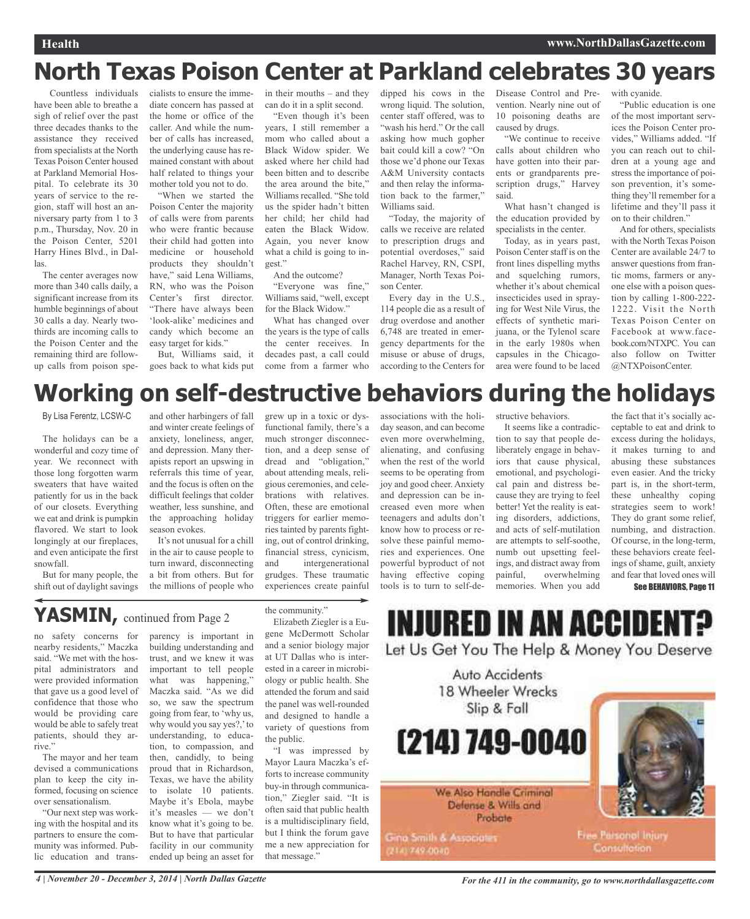## **North Texas Poison Center at Parkland celebrates 30 years**

Countless individuals have been able to breathe a sigh of relief over the past three decades thanks to the assistance they received from specialists at the North Texas Poison Center housed at Parkland Memorial Hospital. To celebrate its 30 years of service to the region, staff will host an anniversary party from 1 to 3 p.m., Thursday, Nov. 20 in the Poison Center, 5201 Harry Hines Blvd., in Dallas.

The center averages now more than 340 calls daily, a significant increase from its humble beginnings of about 30 calls a day. Nearly twothirds are incoming calls to the Poison Center and the remaining third are followup calls from poison specialists to ensure the immediate concern has passed at the home or office of the caller. And while the number of calls has increased, the underlying cause has remained constant with about half related to things your mother told you not to do.

"When we started the Poison Center the majority of calls were from parents who were frantic because their child had gotten into medicine or household products they shouldn't have," said Lena Williams, RN, who was the Poison Center's first director. "There have always been 'look-alike' medicines and candy which become an easy target for kids."

But, Williams said, it goes back to what kids put in their mouths – and they can do it in a split second.

"Even though it's been years, I still remember a mom who called about a Black Widow spider. We asked where her child had been bitten and to describe the area around the bite," Williams recalled. "She told us the spider hadn't bitten her child; her child had eaten the Black Widow. Again, you never know what a child is going to ingest."

And the outcome?

"Everyone was fine," Williams said, "well, except for the Black Widow."

What has changed over the years is the type of calls the center receives. In decades past, a call could come from a farmer who

dipped his cows in the wrong liquid. The solution, center staff offered, was to "wash his herd." Or the call asking how much gopher bait could kill a cow? "On those we'd phone our Texas A&M University contacts and then relay the information back to the farmer," Williams said.

"Today, the majority of calls we receive are related to prescription drugs and potential overdoses," said Rachel Harvey, RN, CSPI, Manager, North Texas Poison Center.

Every day in the U.S., 114 people die as a result of drug overdose and another 6,748 are treated in emergency departments for the misuse or abuse of drugs, according to the Centers for

associations with the holi-

Disease Control and Prevention. Nearly nine out of 10 poisoning deaths are caused by drugs.

"We continue to receive calls about children who have gotten into their parents or grandparents prescription drugs," Harvey said.

What hasn't changed is the education provided by specialists in the center.

Today, as in years past, Poison Center staff is on the front lines dispelling myths and squelching rumors, whether it's about chemical insecticides used in spraying for West Nile Virus, the effects of synthetic marijuana, or the Tylenol scare in the early 1980s when capsules in the Chicagoarea were found to be laced

with cyanide.

"Public education is one of the most important services the Poison Center provides," Williams added. "If you can reach out to children at a young age and stress the importance of poison prevention, it's something they'll remember for a lifetime and they'll pass it on to their children."

And for others, specialists with the North Texas Poison Center are available 24/7 to answer questions from frantic moms, farmers or anyone else with a poison question by calling 1-800-222- 1222. Visit the North Texas Poison Center on Facebook at www.facebook.com/NTXPC. You can also follow on Twitter @NTXPoisonCenter.

## **Working on self-destructive behaviors during the holidays**

By Lisa Ferentz, LCSW-C

The holidays can be a wonderful and cozy time of year. We reconnect with those long forgotten warm sweaters that have waited patiently for us in the back of our closets. Everything we eat and drink is pumpkin flavored. We start to look longingly at our fireplaces, and even anticipate the first snowfall.

But for many people, the shift out of daylight savings

and other harbingers of fall and winter create feelings of anxiety, loneliness, anger, and depression. Many therapists report an upswing in referrals this time of year, and the focus is often on the difficult feelings that colder weather, less sunshine, and the approaching holiday season evokes.

It's not unusual for a chill in the air to cause people to turn inward, disconnecting a bit from others. But for the millions of people who

grew up in a toxic or dysfunctional family, there's a much stronger disconnection, and a deep sense of dread and "obligation," about attending meals, religious ceremonies, and celebrations with relatives. Often, these are emotional triggers for earlier memories tainted by parents fighting, out of control drinking, financial stress, cynicism, and intergenerational grudges. These traumatic experiences create painful

having effective coping tools is to turn to self-de-

day season, and can become even more overwhelming, alienating, and confusing when the rest of the world seems to be operating from joy and good cheer. Anxiety and depression can be increased even more when teenagers and adults don't know how to process or resolve these painful memories and experiences. One powerful byproduct of not

structive behaviors.

It seems like a contradiction to say that people deliberately engage in behaviors that cause physical, emotional, and psychological pain and distress because they are trying to feel better! Yet the reality is eating disorders, addictions, and acts of self-mutilation are attempts to self-soothe, numb out upsetting feelings, and distract away from painful, overwhelming memories. When you add

the fact that it's socially acceptable to eat and drink to excess during the holidays, it makes turning to and abusing these substances even easier. And the tricky part is, in the short-term, these unhealthy coping strategies seem to work! They do grant some relief, numbing, and distraction. Of course, in the long-term, these behaviors create feelings of shame, guilt, anxiety and fear that loved ones will

See BEHAVIORS, Page 11

**YASMIN,** continued from Page <sup>2</sup>

no safety concerns for nearby residents," Maczka said. "We met with the hospital administrators and were provided information that gave us a good level of confidence that those who would be providing care would be able to safely treat patients, should they arrive."

The mayor and her team devised a communications plan to keep the city informed, focusing on science over sensationalism.

"Our next step was working with the hospital and its partners to ensure the community was informed. Public education and transparency is important in building understanding and trust, and we knew it was important to tell people what was happening," Maczka said. "As we did so, we saw the spectrum going from fear, to 'why us, why would you say yes?,'to understanding, to education, to compassion, and then, candidly, to being proud that in Richardson, Texas, we have the ability to isolate 10 patients. Maybe it's Ebola, maybe it's measles — we don't know what it's going to be. But to have that particular facility in our community ended up being an asset for

Elizabeth Ziegler is a Eugene McDermott Scholar and a senior biology major at UT Dallas who is interested in a career in microbiology or public health. She attended the forum and said the panel was well-rounded and designed to handle a variety of questions from

the community."

the public. "I was impressed by Mayor Laura Maczka's efforts to increase community buy-in through communication," Ziegler said. "It is often said that public health is a multidisciplinary field, but I think the forum gave me a new appreciation for that message."



(214) 749-0040

We Also Handle Criminal Defense & Wills and **Probate** 

**Gina Smith & Associates** 2141749-0040



**Free Parsonol Injury** Consultation.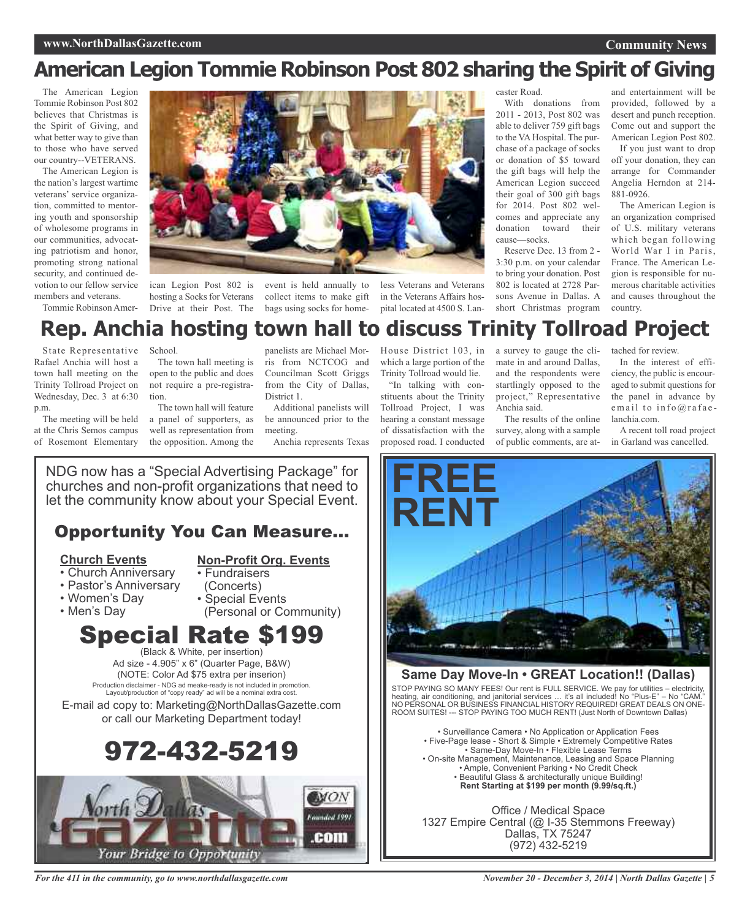### **Community News**

## **American Legion Tommie Robinson Post 802 sharing the Spirit of Giving**

The American Legion Tommie Robinson Post 802 believes that Christmas is the Spirit of Giving, and what better way to give than to those who have served our country--VETERANS.

The American Legion is the nation's largest wartime veterans' service organization, committed to mentoring youth and sponsorship of wholesome programs in our communities, advocating patriotism and honor, promoting strong national security, and continued devotion to our fellow service members and veterans.

Tommie Robinson Amer-



ican Legion Post 802 is event is held annually to hosting a Socks for Veterans collect items to make gift Drive at their Post. The bags using socks for home-

less Veterans and Veterans in the Veterans Affairs hospital located at 4500 S. Lan-

House District 103, in

which a large portion of the Trinity Tollroad would lie. "In talking with constituents about the Trinity Tollroad Project, I was hearing a constant message of dissatisfaction with the proposed road. I conducted

a survey to gauge the climate in and around Dallas, and the respondents were startlingly opposed to the project," Representative Anchia said.

Reserve Dec. 13 from 2 - 3:30 p.m. on your calendar to bring your donation. Post 802 is located at 2728 Parsons Avenue in Dallas. A short Christmas program

caster Road.

cause—socks.

With donations from 2011 - 2013, Post 802 was able to deliver 759 gift bags to the VA Hospital. The purchase of a package of socks or donation of \$5 toward the gift bags will help the American Legion succeed their goal of 300 gift bags for 2014. Post 802 welcomes and appreciate any donation toward their

The results of the online survey, along with a sample of public comments, are at-

and entertainment will be provided, followed by a desert and punch reception. Come out and support the American Legion Post 802.

If you just want to drop off your donation, they can arrange for Commander Angelia Herndon at 214- 881-0926.

The American Legion is an organization comprised of U.S. military veterans which began following World War I in Paris, France. The American Legion is responsible for numerous charitable activities and causes throughout the country.

In the interest of efficiency, the public is encouraged to submit questions for the panel in advance by email to  $info@rate-$ 

A recent toll road project in Garland was cancelled.

tached for review.

lanchia.com.

## **Rep. Anchia hosting town hall to discuss Trinity Tollroad Project**

State Representative Rafael Anchia will host a town hall meeting on the Trinity Tollroad Project on Wednesday, Dec. 3 at 6:30 p.m.

The meeting will be held at the Chris Semos campus of Rosemont Elementary

School. The town hall meeting is open to the public and does not require a pre-registra-

tion. The town hall will feature a panel of supporters, as well as representation from the opposition. Among the

panelists are Michael Morris from NCTCOG and Councilman Scott Griggs from the City of Dallas, District 1.

Additional panelists will be announced prior to the meeting.

Anchia represents Texas

NDG now has a "Special Advertising Package" for churches and non-profit organizations that need to let the community know about your Special Event.

### Opportunity You Can Measure...

### **Church Events** • Church Anniversary

### **Non-Profit Org. Events**

- Fundraisers
- Pastor's Anniversary (Concerts)
- Women's Day
- Men's Day
- Special Events (Personal or Community)
- Special Rate \$199

(Black & White, per insertion) Ad size - 4.905" x 6" (Quarter Page, B&W) (NOTE: Color Ad \$75 extra per inserion) Production disclaimer - NDG ad meake-ready is not included in promotion. Layout/production of "copy ready" ad will be a nominal extra cost. E-mail ad copy to: Marketing@NorthDallasGazette.com or call our Marketing Department today!





*For the 411 in the community, go to www.northdallasgazette.com*



### **Same Day Move-In • GREAT Location!! (Dallas)**

STOP PAYING SO MANY FEES! Our rent is FULL SERVICE. We pay for utilities – electricity, heating, air conditioning, and janitorial services … it's all included! No "Plus-E" – No "CAM." NO PERSONAL OR BUSINESS FINANCIAL HISTORY REQUIRED! GREAT DEALS ON ONE-ROOM SUITES! --- STOP PAYING TOO MUCH RENT! (Just North of Downtown Dallas)

• Surveillance Camera • No Application or Application Fees • Five-Page lease - Short & Simple • Extremely Competitive Rates • Same-Day Move-In • Flexible Lease Terms • On-site Management, Maintenance, Leasing and Space Planning • Ample, Convenient Parking • No Credit Check • Beautiful Glass & architecturally unique Building! **Rent Starting at \$199 per month (9.99/sq.ft.)**

Office / Medical Space 1327 Empire Central (@ I-35 Stemmons Freeway) Dallas, TX 75247 (972) 432-5219

*November 20 - December 3, 2014 | North Dallas Gazette | 5*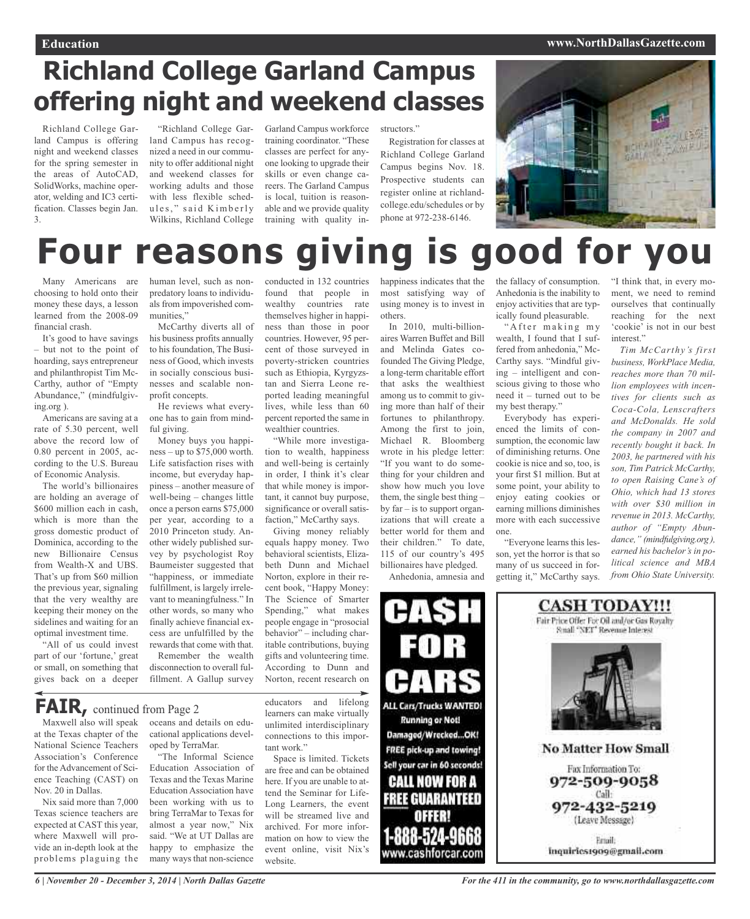### **Education www.NorthDallasGazette.com**

## **Richland College Garland Campus offering night and weekend classes**

Richland College Garland Campus is offering night and weekend classes for the spring semester in the areas of AutoCAD, SolidWorks, machine operator, welding and IC3 certification. Classes begin Jan. 3.

"Richland College Garland Campus has recognized a need in our community to offer additional night and weekend classes for working adults and those with less flexible schedules," said Kimberly Wilkins, Richland College

Garland Campus workforce training coordinator. "These classes are perfect for anyone looking to upgrade their skills or even change careers. The Garland Campus is local, tuition is reasonable and we provide quality training with quality in-

conducted in 132 countries

structors."

Registration for classes at Richland College Garland Campus begins Nov. 18. Prospective students can register online at richlandcollege.edu/schedules or by phone at 972-238-6146.



# **Four reasons giving is good for you**

Many Americans are choosing to hold onto their money these days, a lesson learned from the 2008-09 financial crash.

It's good to have savings – but not to the point of hoarding, says entrepreneur and philanthropist Tim Mc-Carthy, author of "Empty Abundance," (mindfulgiving.org ).

Americans are saving at a rate of 5.30 percent, well above the record low of 0.80 percent in 2005, according to the U.S. Bureau of Economic Analysis.

The world's billionaires are holding an average of \$600 million each in cash, which is more than the gross domestic product of Dominica, according to the new Billionaire Census from Wealth-X and UBS. That's up from \$60 million the previous year, signaling that the very wealthy are keeping their money on the sidelines and waiting for an optimal investment time.

"All of us could invest part of our 'fortune,' great or small, on something that gives back on a deeper

human level, such as nonpredatory loans to individuals from impoverished communities,"

McCarthy diverts all of his business profits annually to his foundation, The Business of Good, which invests in socially conscious businesses and scalable nonprofit concepts.

He reviews what everyone has to gain from mindful giving.

Money buys you happiness – up to \$75,000 worth. Life satisfaction rises with income, but everyday happiness – another measure of well-being – changes little once a person earns \$75,000 per year, according to a 2010 Princeton study. Another widely published survey by psychologist Roy Baumeister suggested that "happiness, or immediate fulfillment, is largely irrelevant to meaningfulness." In other words, so many who finally achieve financial excess are unfulfilled by the rewards that come with that.

Remember the wealth disconnection to overall fulfillment. A Gallup survey

found that people in wealthy countries rate themselves higher in happiness than those in poor countries. However, 95 percent of those surveyed in poverty-stricken countries such as Ethiopia, Kyrgyzstan and Sierra Leone reported leading meaningful

> lives, while less than 60 percent reported the same in wealthier countries. "While more investigation to wealth, happiness and well-being is certainly in order, I think it's clear that while money is important, it cannot buy purpose, significance or overall satis-

faction," McCarthy says. Giving money reliably equals happy money. Two behavioral scientists, Elizabeth Dunn and Michael Norton, explore in their recent book, "Happy Money: The Science of Smarter Spending," what makes people engage in "prosocial behavior" – including charitable contributions, buying gifts and volunteering time. According to Dunn and Norton, recent research on

happiness indicates that the most satisfying way of using money is to invest in others.

In 2010, multi-billionaires Warren Buffet and Bill and Melinda Gates cofounded The Giving Pledge, a long-term charitable effort that asks the wealthiest among us to commit to giving more than half of their fortunes to philanthropy. Among the first to join, Michael R. Bloomberg wrote in his pledge letter: "If you want to do something for your children and show how much you love them, the single best thing – by far – is to support organizations that will create a better world for them and their children." To date, 115 of our country's 495 billionaires have pledged.

Anhedonia, amnesia and

the fallacy of consumption. Anhedonia is the inability to enjoy activities that are typically found pleasurable.

"After making my wealth, I found that I suffered from anhedonia," Mc-Carthy says. "Mindful giving – intelligent and conscious giving to those who need it – turned out to be my best therapy."

Everybody has experienced the limits of consumption, the economic law of diminishing returns. One cookie is nice and so, too, is your first \$1 million. But at some point, your ability to enjoy eating cookies or earning millions diminishes more with each successive one.

"Everyone learns this lesson, yet the horror is that so many of us succeed in forgetting it," McCarthy says.

"I think that, in every moment, we need to remind ourselves that continually reaching for the next 'cookie' is not in our best interest."

*Tim McCarthy's first business, WorkPlace Media, reaches more than 70 million employees with incentives for clients such as Coca-Cola, Lenscrafters and McDonalds. He sold the company in 2007 and recently bought it back. In 2003, he partnered with his son, Tim Patrick McCarthy, to open Raising Cane's of Ohio, which had 13 stores with over \$30 million in revenue in 2013. McCarthy, author of "Empty Abundance," (mindfulgiving.org ), earned his bachelor's in political science and MBA from Ohio State University.*



**FAIR,** continued from Page <sup>2</sup>

Maxwell also will speak at the Texas chapter of the National Science Teachers Association's Conference for the Advancement of Science Teaching (CAST) on Nov. 20 in Dallas.

Nix said more than 7,000 Texas science teachers are expected at CAST this year, where Maxwell will provide an in-depth look at the problems plaguing the oceans and details on educational applications developed by TerraMar.

"The Informal Science Education Association of Texas and the Texas Marine Education Association have been working with us to bring TerraMar to Texas for almost a year now," Nix said. "We at UT Dallas are happy to emphasize the many ways that non-science educators and lifelong learners can make virtually unlimited interdisciplinary connections to this important work."

Space is limited. Tickets are free and can be obtained here. If you are unable to attend the Seminar for Life-Long Learners, the event will be streamed live and archived. For more information on how to view the event online, visit Nix's website.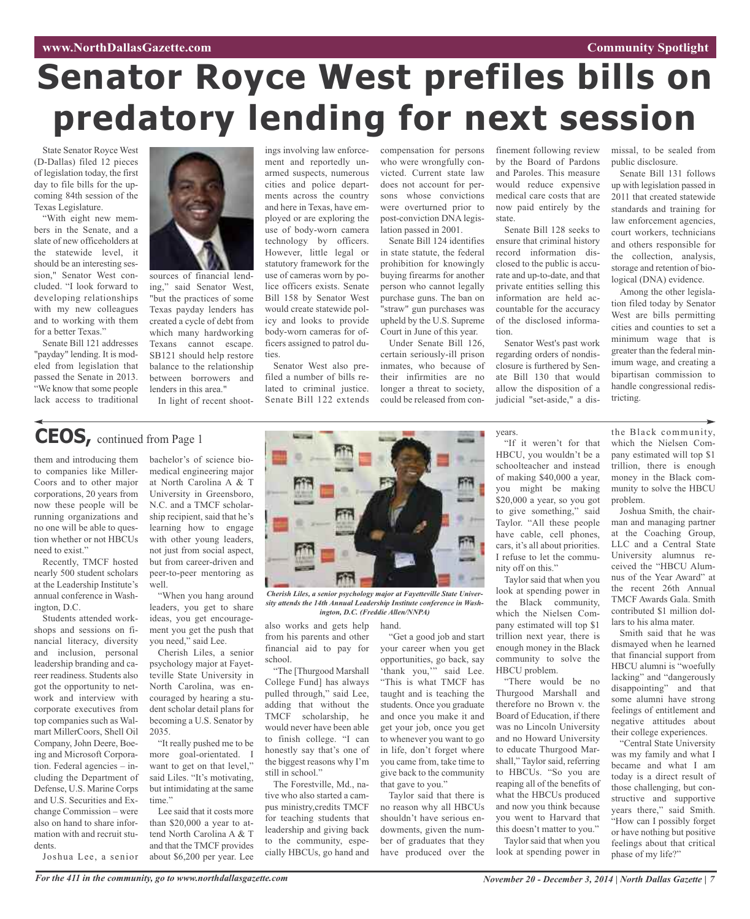### **www.NorthDallasGazette.com Community** Spotlight

# **Senator Royce West prefiles bills on predatory lending for next session**

ings involving law enforcement and reportedly unarmed suspects, numerous cities and police departments across the country and here in Texas, have employed or are exploring the use of body-worn camera technology by officers. However, little legal or statutory framework for the use of cameras worn by police officers exists. Senate Bill 158 by Senator West would create statewide policy and looks to provide body-worn cameras for officers assigned to patrol du-

Senator West also prefiled a number of bills related to criminal justice. Senate Bill 122 extends

State Senator Royce West (D-Dallas) filed 12 pieces of legislation today, the first day to file bills for the upcoming 84th session of the Texas Legislature.

"With eight new members in the Senate, and a slate of new officeholders at the statewide level, it should be an interesting session," Senator West concluded. "I look forward to developing relationships with my new colleagues and to working with them for a better Texas."

Senate Bill 121 addresses "payday" lending. It is modeled from legislation that passed the Senate in 2013. "We know that some people lack access to traditional



sources of financial lending," said Senator West, "but the practices of some Texas payday lenders has created a cycle of debt from which many hardworking Texans cannot escape. SB121 should help restore balance to the relationship between borrowers and lenders in this area."

ties.

In light of recent shoot-

## **CEOS,** continued from Page <sup>1</sup>

them and introducing them to companies like Miller-Coors and to other major corporations, 20 years from now these people will be running organizations and no one will be able to question whether or not HBCUs need to exist."

Recently, TMCF hosted nearly 500 student scholars at the Leadership Institute's annual conference in Washington, D.C.

Students attended workshops and sessions on financial literacy, diversity and inclusion, personal leadership branding and career readiness. Students also got the opportunity to network and interview with corporate executives from top companies such as Walmart MillerCoors, Shell Oil Company, John Deere, Boeing and Microsoft Corporation. Federal agencies – including the Department of Defense, U.S. Marine Corps and U.S. Securities and Exchange Commission – were also on hand to share information with and recruit students.

Joshua Lee, a senior

bachelor's of science biomedical engineering major at North Carolina A & T University in Greensboro, N.C. and a TMCF scholarship recipient, said that he's learning how to engage with other young leaders, not just from social aspect, but from career-driven and peer-to-peer mentoring as well.

"When you hang around leaders, you get to share ideas, you get encouragement you get the push that you need," said Lee.

Cherish Liles, a senior psychology major at Fayetteville State University in North Carolina, was encouraged by hearing a student scholar detail plans for becoming a U.S. Senator by 2035.

"It really pushed me to be more goal-orientated. I want to get on that level," said Liles. "It's motivating, but intimidating at the same time."

Lee said that it costs more than \$20,000 a year to attend North Carolina A & T and that the TMCF provides about \$6,200 per year. Lee

*Cherish Liles, a senior psychology major at Fayetteville State University attends the 14th Annual Leadership Institute conference in Washington, D.C. (Freddie Allen/NNPA)*

also works and gets help hand.

from his parents and other financial aid to pay for school.

"The [Thurgood Marshall College Fund] has always pulled through," said Lee, adding that without the TMCF scholarship, he would never have been able to finish college. "I can honestly say that's one of the biggest reasons why I'm still in school."

The Forestville, Md., native who also started a campus ministry,credits TMCF for teaching students that leadership and giving back to the community, especially HBCUs, go hand and

### compensation for persons who were wrongfully convicted. Current state law does not account for persons whose convictions were overturned prior to post-conviction DNA legislation passed in 2001.

Senate Bill 124 identifies in state statute, the federal prohibition for knowingly buying firearms for another person who cannot legally purchase guns. The ban on "straw" gun purchases was upheld by the U.S. Supreme Court in June of this year.

Under Senate Bill 126, certain seriously-ill prison inmates, who because of their infirmities are no longer a threat to society, could be released from confinement following review by the Board of Pardons and Paroles. This measure would reduce expensive medical care costs that are now paid entirely by the state.

Senate Bill 128 seeks to ensure that criminal history record information disclosed to the public is accurate and up-to-date, and that private entities selling this information are held accountable for the accuracy of the disclosed information.

Senator West's past work regarding orders of nondisclosure is furthered by Senate Bill 130 that would allow the disposition of a judicial "set-aside," a dismissal, to be sealed from public disclosure.

Senate Bill 131 follows up with legislation passed in 2011 that created statewide standards and training for law enforcement agencies, court workers, technicians and others responsible for the collection, analysis, storage and retention of biological (DNA) evidence.

Among the other legislation filed today by Senator West are bills permitting cities and counties to set a minimum wage that is greater than the federal minimum wage, and creating a bipartisan commission to handle congressional redistricting.

years.

"If it weren't for that HBCU, you wouldn't be a schoolteacher and instead of making \$40,000 a year, you might be making \$20,000 a year, so you got to give something," said Taylor. "All these people have cable, cell phones, cars, it's all about priorities. I refuse to let the community off on this."

Taylor said that when you look at spending power in the Black community, which the Nielsen Company estimated will top \$1 trillion next year, there is enough money in the Black community to solve the HBCU problem.

"There would be no Thurgood Marshall and therefore no Brown v. the Board of Education, if there was no Lincoln University and no Howard University to educate Thurgood Marshall," Taylor said, referring to HBCUs. "So you are reaping all of the benefits of what the HBCUs produced and now you think because you went to Harvard that this doesn't matter to you."

Taylor said that when you look at spending power in

the Black community, which the Nielsen Company estimated will top \$1 trillion, there is enough money in the Black community to solve the HBCU problem.

Joshua Smith, the chairman and managing partner at the Coaching Group, LLC and a Central State University alumnus received the "HBCU Alumnus of the Year Award" at the recent 26th Annual TMCF Awards Gala. Smith contributed \$1 million dollars to his alma mater.

Smith said that he was dismayed when he learned that financial support from HBCU alumni is "woefully lacking" and "dangerously disappointing" and that some alumni have strong feelings of entitlement and negative attitudes about their college experiences.

"Central State University was my family and what I became and what I am today is a direct result of those challenging, but constructive and supportive years there," said Smith. "How can I possibly forget or have nothing but positive feelings about that critical phase of my life?"

in life, don't forget where you came from, take time to give back to the community that gave to you." Taylor said that there is no reason why all HBCUs shouldn't have serious endowments, given the num-

ber of graduates that they

"Get a good job and start your career when you get opportunities, go back, say 'thank you," said Lee. "This is what TMCF has taught and is teaching the students. Once you graduate and once you make it and get your job, once you get to whenever you want to go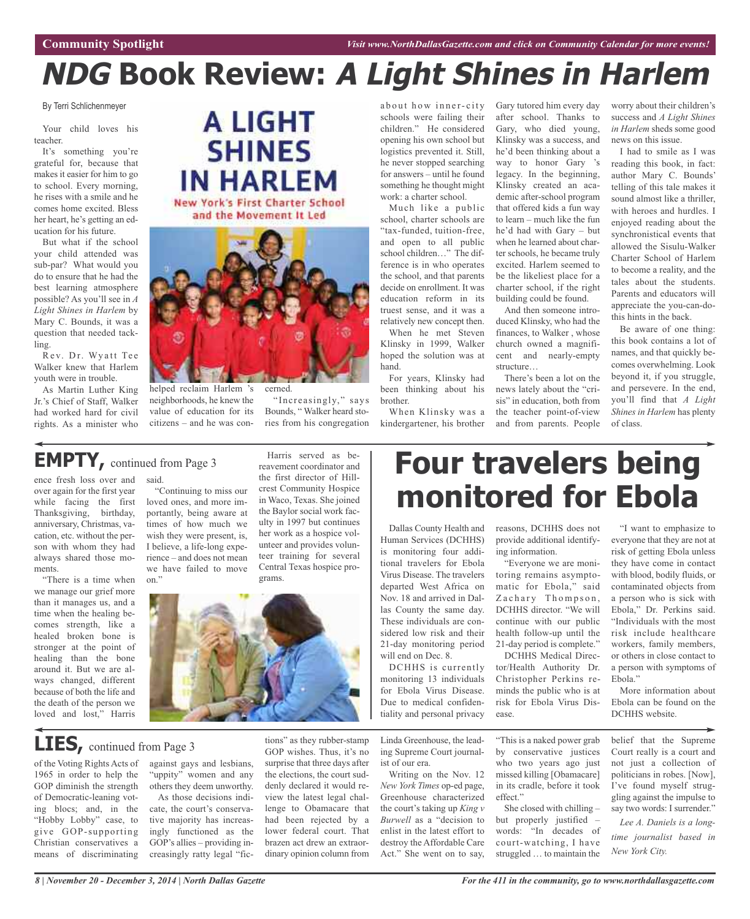**Community Spotlight** *Visit www.NorthDallasGazette.com and click on Community Calendar for more events!*

# **NDG Book Review: A Light Shines in Harlem**

By Terri Schlichenmeyer

Your child loves his teacher.

It's something you're grateful for, because that makes it easier for him to go to school. Every morning, he rises with a smile and he comes home excited. Bless her heart, he's getting an education for his future.

But what if the school your child attended was sub-par? What would you do to ensure that he had the best learning atmosphere possible? As you'll see in *A Light Shines in Harlem* by Mary C. Bounds, it was a question that needed tackling.

Rev. Dr. Wyatt Tee Walker knew that Harlem youth were in trouble.

As Martin Luther King Jr.'s Chief of Staff, Walker had worked hard for civil rights. As a minister who

**A LIGHT SHINES IN HARLEM New York's First Charter School** 

and the Movement It Led



cerned.

helped reclaim Harlem 's neighborhoods, he knew the value of education for its citizens – and he was con-

"Increasingly," says

Bounds, " Walker heard stories from his congregation about how inner-city schools were failing their children." He considered opening his own school but logistics prevented it. Still, he never stopped searching for answers – until he found something he thought might work: a charter school.

Much like a public school, charter schools are "tax-funded, tuition-free, and open to all public school children..." The difference is in who operates the school, and that parents decide on enrollment. It was education reform in its truest sense, and it was a relatively new concept then.

When he met Steven Klinsky in 1999, Walker hoped the solution was at hand.

For years, Klinsky had been thinking about his brother.

Human Services (DCHHS) is monitoring four additional travelers for Ebola Virus Disease. The travelers departed West Africa on Nov. 18 and arrived in Dallas County the same day. These individuals are considered low risk and their 21-day monitoring period

When Klinsky was a kindergartener, his brother

Gary tutored him every day after school. Thanks to Gary, who died young, Klinsky was a success, and he'd been thinking about a way to honor Gary 's legacy. In the beginning, Klinsky created an academic after-school program that offered kids a fun way to learn – much like the fun he'd had with Gary – but when he learned about charter schools, he became truly excited. Harlem seemed to be the likeliest place for a charter school, if the right building could be found. And then someone intro-

duced Klinsky, who had the finances, to Walker , whose church owned a magnificent and nearly-empty structure…

There's been a lot on the news lately about the "crisis" in education, both from the teacher point-of-view and from parents. People

**Four travelers being**

**monitored for Ebola**

worry about their children's success and *A Light Shines in Harlem* sheds some good news on this issue.

I had to smile as I was reading this book, in fact: author Mary C. Bounds' telling of this tale makes it sound almost like a thriller, with heroes and hurdles. I enjoyed reading about the synchronistical events that allowed the Sisulu-Walker Charter School of Harlem to become a reality, and the tales about the students. Parents and educators will appreciate the you-can-dothis hints in the back.

Be aware of one thing: this book contains a lot of names, and that quickly becomes overwhelming. Look beyond it, if you struggle, and persevere. In the end, you'll find that *A Light Shines in Harlem* has plenty of class.

## **EMPTY,** continued from Page <sup>3</sup>

ence fresh loss over and over again for the first year while facing the first Thanksgiving, birthday, anniversary, Christmas, vacation, etc. without the person with whom they had always shared those moments.

"There is a time when we manage our grief more than it manages us, and a time when the healing becomes strength, like a healed broken bone is stronger at the point of healing than the bone around it. But we are always changed, different because of both the life and the death of the person we loved and lost," Harris

said.

"Continuing to miss our loved ones, and more importantly, being aware at times of how much we wish they were present, is, I believe, a life-long experience – and does not mean we have failed to move on."

Harris served as bereavement coordinator and the first director of Hillcrest Community Hospice in Waco, Texas. She joined the Baylor social work faculty in 1997 but continues her work as a hospice volunteer and provides volunteer training for several Central Texas hospice programs.



## **LIES,** continued from Page <sup>3</sup>

of the Voting Rights Acts of 1965 in order to help the GOP diminish the strength of Democratic-leaning voting blocs; and, in the "Hobby Lobby" case, to give GOP-supporting Christian conservatives a means of discriminating

against gays and lesbians, "uppity" women and any others they deem unworthy. As those decisions indi-

cate, the court's conservative majority has increasingly functioned as the GOP's allies – providing increasingly ratty legal "fic-

tions" as they rubber-stamp GOP wishes. Thus, it's no surprise that three days after the elections, the court suddenly declared it would review the latest legal challenge to Obamacare that had been rejected by a lower federal court. That brazen act drew an extraordinary opinion column from

Linda Greenhouse, the leading Supreme Court journalist of our era.

will end on Dec. 8.

DCHHS is currently monitoring 13 individuals for Ebola Virus Disease. Due to medical confidentiality and personal privacy

Writing on the Nov. 12 *New York Times* op-ed page, Greenhouse characterized the court's taking up *King v Burwell* as a "decision to enlist in the latest effort to destroy the Affordable Care Act." She went on to say,

Dallas County Health and reasons, DCHHS does not provide additional identifying information.

"Everyone we are monitoring remains asymptomatic for Ebola," said Zachary Thompson, DCHHS director. "We will continue with our public health follow-up until the 21-day period is complete." DCHHS Medical Direc-

tor/Health Authority Dr. Christopher Perkins reminds the public who is at risk for Ebola Virus Disease.

"This is a naked power grab by conservative justices who two years ago just missed killing [Obamacare] in its cradle, before it took effect."

She closed with chilling – but properly justified – words: "In decades of court-watching, I have struggled … to maintain the

"I want to emphasize to everyone that they are not at risk of getting Ebola unless they have come in contact with blood, bodily fluids, or contaminated objects from a person who is sick with Ebola," Dr. Perkins said. "Individuals with the most risk include healthcare workers, family members, or others in close contact to a person with symptoms of Ebola<sup>"</sup>

More information about Ebola can be found on the DCHHS website.

belief that the Supreme Court really is a court and not just a collection of politicians in robes. [Now], I've found myself struggling against the impulse to say two words: I surrender."

*Lee A. Daniels is a longtime journalist based in New York City.*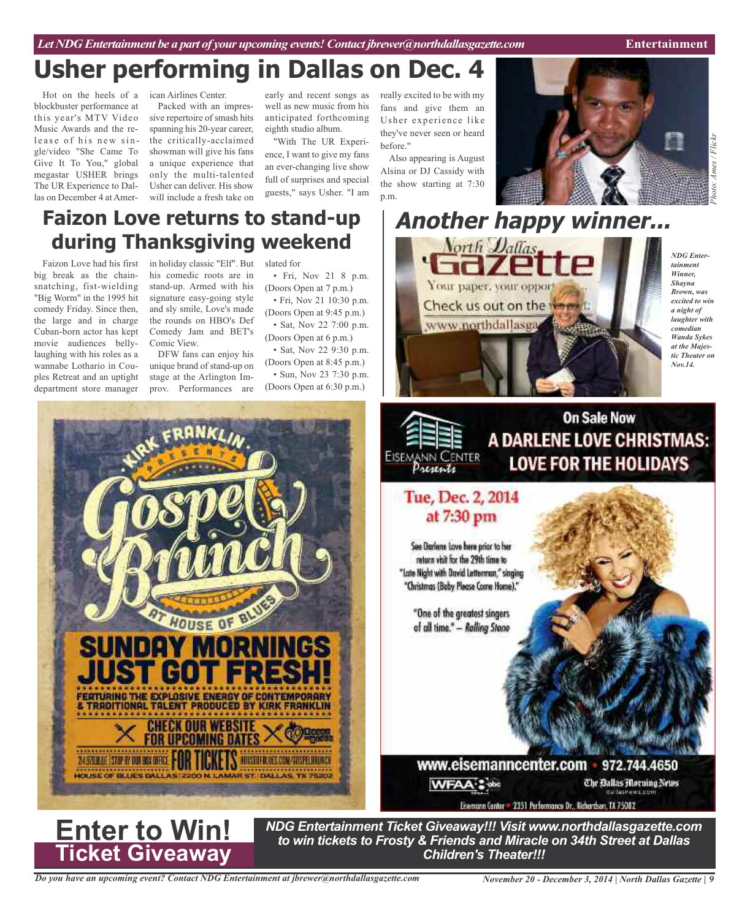### *Let NDG Entertainment be a part of your upcoming events!Contact jbrewer@northdallasgazette.com* **Entertainment**

## **Usher performing in Dallas on Dec. 4**

Hot on the heels of a ican Airlines Center. blockbuster performance at this year's MTV Video Music Awards and the release of his new single/video "She Came To Give It To You," global megastar USHER brings The UR Experience to Dallas on December 4 at Amer-

Packed with an impressive repertoire of smash hits spanning his 20-year career, the critically-acclaimed showman will give his fans a unique experience that only the multi-talented Usher can deliver. His show will include a fresh take on

early and recent songs as well as new music from his anticipated forthcoming eighth studio album.

"With The UR Experience, I want to give my fans an ever-changing live show full of surprises and special guests," says Usher. "I am

really excited to be with my fans and give them an Usher experience like they've never seen or heard before."

Also appearing is August Alsina or DJ Cassidy with the show starting at 7:30 p.m.



*Photo: A mes / Flickr*

## **Faizon Love returns to stand-up during Thanksgiving weekend**

Faizon Love had his first big break as the chainsnatching, fist-wielding "Big Worm" in the 1995 hit comedy Friday. Since then, the large and in charge Cuban-born actor has kept movie audiences bellylaughing with his roles as a wannabe Lothario in Couples Retreat and an uptight department store manager

in holiday classic "Elf". But his comedic roots are in stand-up. Armed with his signature easy-going style and sly smile, Love's made the rounds on HBO's Def Comedy Jam and BET's Comic View.

DFW fans can enjoy his unique brand of stand-up on stage at the Arlington Improv. Performances are

HOUSE OF B

**SUNDAY MORNINGS** 

**FEATURING THE EXPLOSIVE ENERGY OF CONTEMPORARY<br>& TRADITIONAL TALENT PRODUCED BY KIRK FRANKLIN** 

**CHECK OUR WEBSITE FOR UPCOMING DA** 

HOUSE OF BLUES DALLAS 2200 N. LAMAR ST. DALLAS, TX 75202

**JUST GOT FRES** 

slated for

• Fri, Nov 21 8 p.m. (Doors Open at 7 p.m.)

• Fri, Nov 21 10:30 p.m. (Doors Open at 9:45 p.m.) • Sat, Nov 22 7:00 p.m.

(Doors Open at 6 p.m.) • Sat, Nov 22 9:30 p.m.

(Doors Open at 8:45 p.m.) • Sun, Nov 23 7:30 p.m. (Doors Open at 6:30 p.m.)





www.eisemanncenter.com - 972.744.4650 **WFAA'S she** *Che Ballas Morning News* Eisemann Center = 2351 Performance Dr., Nichardson, TX 75082



*<b><i><u><b>ZASTRALE ISTOP W OOI BOX OFFICE FOR TICKETS</u>* 

*NDG Entertainment Ticket Giveaway!!! Visit www.northdallasgazette.com to win tickets to Frosty & Friends and Miracle on 34th Street at Dallas Children's Theater!!!*

HOOSEDFIN, WES CONVIDERED RUNCH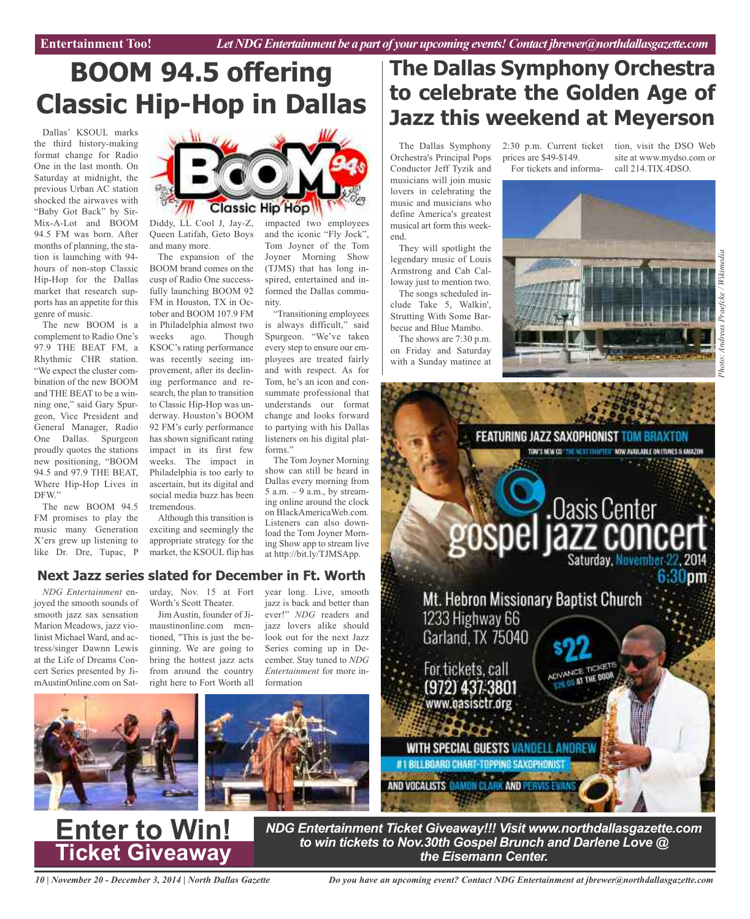## **BOOM 94.5 offering Classic Hip-Hop in Dallas**

Dallas' KSOUL marks the third history-making format change for Radio One in the last month. On Saturday at midnight, the previous Urban AC station shocked the airwaves with "Baby Got Back" by Sir-Mix-A-Lot and BOOM 94.5 FM was born. After months of planning, the station is launching with 94 hours of non-stop Classic Hip-Hop for the Dallas market that research supports has an appetite for this genre of music.

The new BOOM is a complement to Radio One's 97.9 THE BEAT FM, a Rhythmic CHR station. "We expect the cluster combination of the new BOOM and THE BEAT to be a winning one," said Gary Spurgeon, Vice President and General Manager, Radio One Dallas. Spurgeon proudly quotes the stations new positioning, "BOOM 94.5 and 97.9 THE BEAT, Where Hip-Hop Lives in DFW."

The new BOOM 94.5 FM promises to play the music many Generation X'ers grew up listening to like Dr. Dre, Tupac, P



Diddy, LL Cool J, Jay-Z, Queen Latifah, Geto Boys and many more.

The expansion of the BOOM brand comes on the cusp of Radio One successfully launching BOOM 92 FM in Houston, TX in October and BOOM 107.9 FM in Philadelphia almost two weeks ago. Though KSOC's rating performance was recently seeing improvement, after its declining performance and research, the plan to transition to Classic Hip-Hop was underway. Houston's BOOM 92 FM's early performance has shown significant rating impact in its first few weeks. The impact in Philadelphia is too early to ascertain, but its digital and social media buzz has been tremendous.

Although this transition is exciting and seemingly the appropriate strategy for the market, the KSOUL flip has

impacted two employees and the iconic "Fly Jock", Tom Joyner of the Tom Joyner Morning Show (TJMS) that has long inspired, entertained and informed the Dallas community.

"Transitioning employees is always difficult," said Spurgeon. "We've taken every step to ensure our employees are treated fairly and with respect. As for Tom, he's an icon and consummate professional that understands our format change and looks forward to partying with his Dallas listeners on his digital platforms."

The Tom Joyner Morning show can still be heard in Dallas every morning from  $5$  a.m.  $-9$  a.m., by streaming online around the clock on BlackAmericaWeb.com. Listeners can also download the Tom Joyner Morning Show app to stream live at http://bit.ly/TJMSApp.

### **Next Jazz series slated for December in Ft. Worth**

*NDG Entertainment* enjoyed the smooth sounds of smooth jazz sax sensation Marion Meadows, jazz violinist Michael Ward, and actress/singer Dawnn Lewis at the Life of Dreams Concert Series presented by JimAustinOnline.com on Saturday, Nov. 15 at Fort Worth's Scott Theater.

Jim Austin, founder of Jimaustinonline.com mentioned, "This is just the beginning. We are going to bring the hottest jazz acts from around the country right here to Fort Worth all

year long. Live, smooth jazz is back and better than ever!" *NDG* readers and jazz lovers alike should look out for the next Jazz Series coming up in December. Stay tuned to *NDG Entertainment* for more information



The Dallas Symphony Orchestra's Principal Pops Conductor Jeff Tyzik and musicians will join music lovers in celebrating the music and musicians who define America's greatest musical art form this weekend.

They will spotlight the legendary music of Louis Armstrong and Cab Calloway just to mention two.

The songs scheduled include Take 5, Walkin', Strutting With Some Barbecue and Blue Mambo.

The shows are 7:30 p.m. on Friday and Saturday with a Sunday matinee at prices are \$49-\$149. For tickets and informa-

2:30 p.m. Current ticket tion, visit the DSO Web site at www.mydso.com or call 214.TIX.4DSO.





*NDG Entertainment Ticket Giveaway!!! Visit www.northdallasgazette.com to win tickets to Nov.30th Gospel Brunch and Darlene Love @ the Eisemann Center.*

*10 | November 20 - December 3, 2014 | North Dallas Gazette*

**Enter to Win!**

**Ticket Giveaway**

*Do you have an upcoming event? Contact NDG Entertainment at jbrewer@northdallasgazette.com*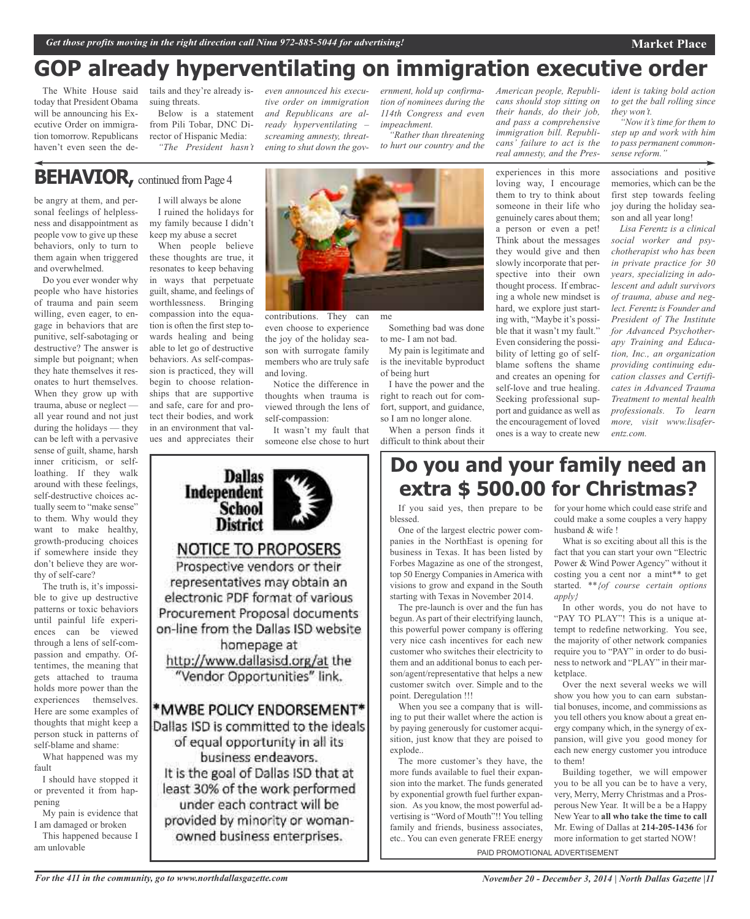## **GOP already hyperventilating on immigration executive order**

The White House said today that President Obama will be announcing his Executive Order on immigration tomorrow. Republicans haven't even seen the de-

suing threats.

Below is a statement from Pili Tobar, DNC Director of Hispanic Media: *"The President hasn't*

tails and they're already is-*even announced his executive order on immigration and Republicans are already hyperventilating – screaming amnesty, threatening to shut down the gov-*

*ernment, hold up confirmation of nominees during the 114th Congress and even impeachment.*

*"Rather than threatening to hurt our country and the*

Something bad was done

My pain is legitimate and is the inevitable byproduct

I have the power and the right to reach out for comfort, support, and guidance, so I am no longer alone. When a person finds it difficult to think about their

to me- I am not bad.

of being hurt

*American people, Republicans should stop sitting on their hands, do their job, and pass a comprehensive immigration bill. Republicans' failure to act is the real amnesty, and the Pres-*

experiences in this more loving way, I encourage them to try to think about someone in their life who genuinely cares about them; a person or even a pet! Think about the messages they would give and then slowly incorporate that perspective into their own thought process. If embracing a whole new mindset is hard, we explore just starting with, "Maybe it's possible that it wasn't my fault." Even considering the possibility of letting go of selfblame softens the shame and creates an opening for self-love and true healing. Seeking professional support and guidance as well as the encouragement of loved ones is a way to create new

*ident is taking bold action to get the ball rolling since they won't.*

**Market Place**

*"Now it's time for them to step up and work with him to pass permanent commonsense reform."*

associations and positive memories, which can be the first step towards feeling joy during the holiday season and all year long!

*Lisa Ferentz is a clinical social worker and psychotherapist who has been in private practice for 30 years, specializing in adolescent and adult survivors of trauma, abuse and neglect. Ferentz is Founder and President of The Institute for Advanced Psychotherapy Training and Education, Inc., an organization providing continuing education classes and Certificates in Advanced Trauma Treatment to mental health professionals. To learn more, visit www.lisaferentz.com.*

**BEHAVIOR**, continued from Page 4

be angry at them, and personal feelings of helplessness and disappointment as people vow to give up these behaviors, only to turn to them again when triggered and overwhelmed.

Do you ever wonder why people who have histories of trauma and pain seem willing, even eager, to engage in behaviors that are punitive, self-sabotaging or destructive? The answer is simple but poignant; when they hate themselves it resonates to hurt themselves. When they grow up with trauma, abuse or neglect all year round and not just during the holidays — they can be left with a pervasive sense of guilt, shame, harsh inner criticism, or selfloathing. If they walk around with these feelings, self-destructive choices actually seem to "make sense" to them. Why would they want to make healthy, growth-producing choices if somewhere inside they don't believe they are worthy of self-care?

The truth is, it's impossible to give up destructive patterns or toxic behaviors until painful life experiences can be viewed through a lens of self-compassion and empathy. Oftentimes, the meaning that gets attached to trauma holds more power than the experiences themselves. Here are some examples of thoughts that might keep a person stuck in patterns of self-blame and shame:

What happened was my fault

I should have stopped it or prevented it from happening

My pain is evidence that I am damaged or broken This happened because I am unlovable

I will always be alone I ruined the holidays for my family because I didn't keep my abuse a secret

When people believe these thoughts are true, it resonates to keep behaving in ways that perpetuate guilt, shame, and feelings of worthlessness. Bringing compassion into the equation is often the first step towards healing and being able to let go of destructive behaviors. As self-compassion is practiced, they will begin to choose relationships that are supportive and safe, care for and protect their bodies, and work in an environment that values and appreciates their



contributions. They can even choose to experience the joy of the holiday season with surrogate family members who are truly safe and loving.

Notice the difference in thoughts when trauma is viewed through the lens of self-compassion:

It wasn't my fault that someone else chose to hurt



### **Do you and your family need an extra \$ 500.00 for Christmas?**

blessed.

One of the largest electric power companies in the NorthEast is opening for business in Texas. It has been listed by Forbes Magazine as one of the strongest, top 50 Energy Companies in America with visions to grow and expand in the South starting with Texas in November 2014.

The pre-launch is over and the fun has begun. As part of their electrifying launch, this powerful power company is offering very nice cash incentives for each new customer who switches their electricity to them and an additional bonus to each person/agent/representative that helps a new customer switch over. Simple and to the point. Deregulation !!!

When you see a company that is willing to put their wallet where the action is by paying generously for customer acquisition, just know that they are poised to explode..

The more customer's they have, the more funds available to fuel their expansion into the market. The funds generated by exponential growth fuel further expansion. As you know, the most powerful advertising is "Word of Mouth"!! You telling family and friends, business associates, etc.. You can even generate FREE energy

If you said yes, then prepare to be for your home which could ease strife and could make a some couples a very happy husband & wife !

> What is so exciting about all this is the fact that you can start your own "Electric Power & Wind Power Agency" without it costing you a cent nor a mint\*\* to get started. *\*\*{of course certain options apply}*

> In other words, you do not have to "PAY TO PLAY"! This is a unique attempt to redefine networking. You see, the majority of other network companies require you to "PAY" in order to do business to network and "PLAY" in their marketplace.

> Over the next several weeks we will show you how you to can earn substantial bonuses, income, and commissions as you tell others you know about a great energy company which, in the synergy of expansion, will give you good money for each new energy customer you introduce to them!

Building together, we will empower you to be all you can be to have a very, very, Merry, Merry Christmas and a Prosperous New Year. It will be a be a Happy New Year to **all who take the time to call** Mr. Ewing of Dallas at **214-205-1436** for more information to get started NOW! PAID PROMOTIONAL ADVERTISEMENT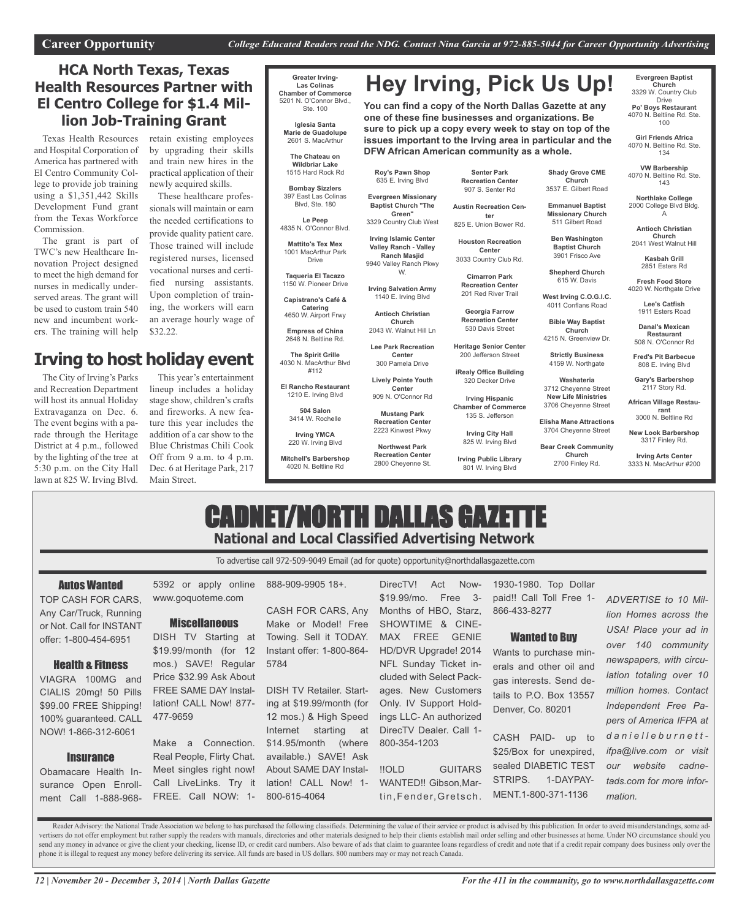**DFW African American community as a whole.**

### **HCA North Texas, Texas Health Resources Partner with El Centro College for \$1.4 Million Job-Training Grant**

Texas Health Resources and Hospital Corporation of America has partnered with El Centro Community College to provide job training using a \$1,351,442 Skills Development Fund grant from the Texas Workforce Commission.

The grant is part of TWC's new Healthcare Innovation Project designed to meet the high demand for nurses in medically underserved areas. The grant will be used to custom train 540 new and incumbent workers. The training will help retain existing employees by upgrading their skills and train new hires in the practical application of their newly acquired skills.

These healthcare professionals will maintain or earn the needed certifications to provide quality patient care. Those trained will include registered nurses, licensed vocational nurses and certified nursing assistants. Upon completion of training, the workers will earn an average hourly wage of \$32.22.

### **Irving to host holiday event**

The City of Irving's Parks and Recreation Department will host its annual Holiday Extravaganza on Dec. 6. The event begins with a parade through the Heritage District at 4 p.m., followed by the lighting of the tree at 5:30 p.m. on the City Hall lawn at 825 W. Irving Blvd.

This year's entertainment lineup includes a holiday stage show, children's crafts and fireworks. A new feature this year includes the addition of a car show to the Blue Christmas Chili Cook Off from 9 a.m. to 4 p.m. Dec. 6 at Heritage Park, 217

Main Street.

**Greater Irving-Las Colinas Chamber of Commerce** 5201 N. O'Connor Blvd., Ste. 100

**Iglesia Santa Marie de Guadolupe** 2601 S. MacArthur

**The Chateau on Wildbriar Lake** 1515 Hard Rock Rd

**Bombay Sizzlers** 397 East Las Colinas Blvd, Ste. 180

**Le Peep** 4835 N. O'Connor Blvd.

**Mattito's Tex Mex** 1001 MacArthur Park Drive

**Taqueria El Tacazo** 1150 W. Pioneer Drive

**Capistrano's Café & Catering** 4650 W. Airport Frwy

**Empress of China** 2648 N. Beltline Rd.

**The Spirit Grille** 4030 N. MacArthur Blvd #112

**El Rancho Restaurant** 1210 E. Irving Blvd

**504 Salon** 3414 W. Rochelle

**Irving YMCA** 220 W. Irving Blvd

**Mitchell's Barbershop** 4020 N. Beltline Rd

**Senter Park Recreation Center** 907 S. Senter Rd

**Hey Irving, Pick Us Up!**

**You can find a copy of the North Dallas Gazette at any one of these fine businesses and organizations. Be sure to pick up a copy every week to stay on top of the issues important to the Irving area in particular and the**

> **Austin Recreation Center** 825 E. Union Bower Rd.

> > **Houston Recreation Center** 3033 Country Club Rd.

> > > **Cimarron Park Recreation Center** 201 Red River Trail

**Georgia Farrow Recreation Center** 530 Davis Street

**Heritage Senior Center** 200 Jefferson Street

> **iRealy Office Building** 320 Decker Drive

**Chamber of Commerce**

**Irving City Hall**

**Irving Public Library**

**Shady Grove CME Church** 3537 E. Gilbert Road

**Emmanuel Baptist Missionary Church**

511 Gilbert Road **Ben Washington Baptist Church**

3901 Frisco Ave **Shepherd Church** 615 W. Davis

**West Irving C.O.G.I.C.**

**Church** 4215 N. Greenview Dr. **Strictly Business** 4159 W. Northgate **Washateria** 3712 Cheyenne Street **New Life Ministries** 3706 Cheyenne Street **Elisha Mane Attractions** 3704 Cheyenne Street **Bear Creek Community Church** 2700 Finley Rd.

4011 Conflans Road **Bible Way Baptist**

**Danal's Mexican Restaurant** 508 N. O'Connor Rd

**Fred's Pit Barbecue** 808 E. Irving Blvd

**Evergreen Baptist Church** 3329 W. Country Club Drive **Po' Boys Restaurant** 4070 N. Beltline Rd. Ste. 100 **Girl Friends Africa** 4070 N. Beltline Rd. Ste. 134 **VW Barbership** 4070 N. Beltline Rd. Ste. 143 **Northlake College** 2000 College Blvd Bldg. A **Antioch Christian Church** 2041 West Walnut Hill **Kasbah Grill** 2851 Esters Rd **Fresh Food Store** 4020 W. Northgate Drive **Lee's Catfish** 1911 Esters Road

**Gary's Barbershop** 2117 Story Rd.

**African Village Restaurant** 3000 N. Beltline Rd

**New Look Barbershop** 3317 Finley Rd.

**Irving Arts Center** 3333 N. MacArthur #200

### CADNET/NORTH DALLAS GAZETTE **National and Local Classified Advertising Network**

To advertise call 972-509-9049 Email (ad for quote) opportunity@northdallasgazette.com

### Autos Wanted

TOP CASH FOR CARS, Any Car/Truck, Running or Not. Call for INSTANT offer: 1-800-454-6951

#### Health & Fitness

VIAGRA 100MG and CIALIS 20mg! 50 Pills \$99.00 FREE Shipping! 100% guaranteed. CALL NOW! 1-866-312-6061

### **Insurance**

Obamacare Health Insurance Open Enrollment Call 1-888-968-

5392 or apply online www.goquoteme.com

### **Miscellaneous**

DISH TV Starting at \$19.99/month (for 12 mos.) SAVE! Regular Price \$32.99 Ask About FREE SAME DAY Installation! CALL Now! 877- 477-9659

Make a Connection. Real People, Flirty Chat. Meet singles right now! Call LiveLinks. Try it FREE. Call NOW: 1-

CASH FOR CARS, Any Make or Model! Free Towing. Sell it TODAY. Instant offer: 1-800-864-

5784

888-909-9905 18+.

DISH TV Retailer. Starting at \$19.99/month (for 12 mos.) & High Speed Internet starting at \$14.95/month (where available.) SAVE! Ask About SAME DAY Installation! CALL Now! 1- 800-615-4064

DirecTV! Act Now- \$19.99/mo. Free 3- Months of HBO, Starz, SHOWTIME & CINE-MAX FREE GENIE HD/DVR Upgrade! 2014 NFL Sunday Ticket included with Select Packages. New Customers Only. IV Support Holdings LLC- An authorized DirecTV Dealer. Call 1- 800-354-1203

!!OLD GUITARS WANTED!! Gibson,Martin, Fender, Gretsch. 1930-1980. Top Dollar paid!! Call Toll Free 1- 866-433-8277

### Wanted to Buy

Wants to purchase minerals and other oil and gas interests. Send details to P.O. Box 13557 Denver, Co. 80201

CASH PAID- up to \$25/Box for unexpired, sealed DIABETIC TEST STRIPS. 1-DAYPAY-MENT.1-800-371-1136

*ADVERTISE to 10 Million Homes across the USA! Place your ad in over 140 community newspapers, with circulation totaling over 10 million homes. Contact Independent Free Papers of America IFPA at d a n i e l l e b u r n e t t ifpa@live.com or visit our website cadnetads.com for more information.*

Reader Advisory: the National Trade Association we belong to has purchased the following classifieds. Determining the value of their service or product is advised by this publication. In order to avoid misunderstandings, s vertisers do not offer employment but rather supply the readers with manuals, directories and other materials designed to help their clients establish mail order selling and other businesses at home. Under NO circumstance send any money in advance or give the client your checking, license ID, or credit card numbers. Also beware of ads that claim to guarantee loans regardless of credit and note that if a credit repair company does business o phone it is illegal to request any money before delivering its service. All funds are based in US dollars. 800 numbers may or may not reach Canada.

## **Northwest Park Recreation Center** 2800 Cheyenne St.

**Lee Park Recreation** 300 Pamela Drive

**Irving Hispanic** 135 S. Jefferson

825 W. Irving Blvd

801 W. Irving Blvd

**Irving Salvation Army** 1140 E. Irving Blvd **Antioch Christian** 2043 W. Walnut Hill Ln

**Roy's Pawn Shop** 635 E. Irving Blvd **Evergreen Missionary Baptist Church "The Green"** 3329 Country Club West **Irving Islamic Center Valley Ranch - Valley Ranch Masjid** 9940 Valley Ranch Pkwy W.

**Church**

**Center**

**Center**

909 N. O'Connor Rd **Mustang Park Recreation Center** 2223 Kinwest Pkwy

**Lively Pointe Youth**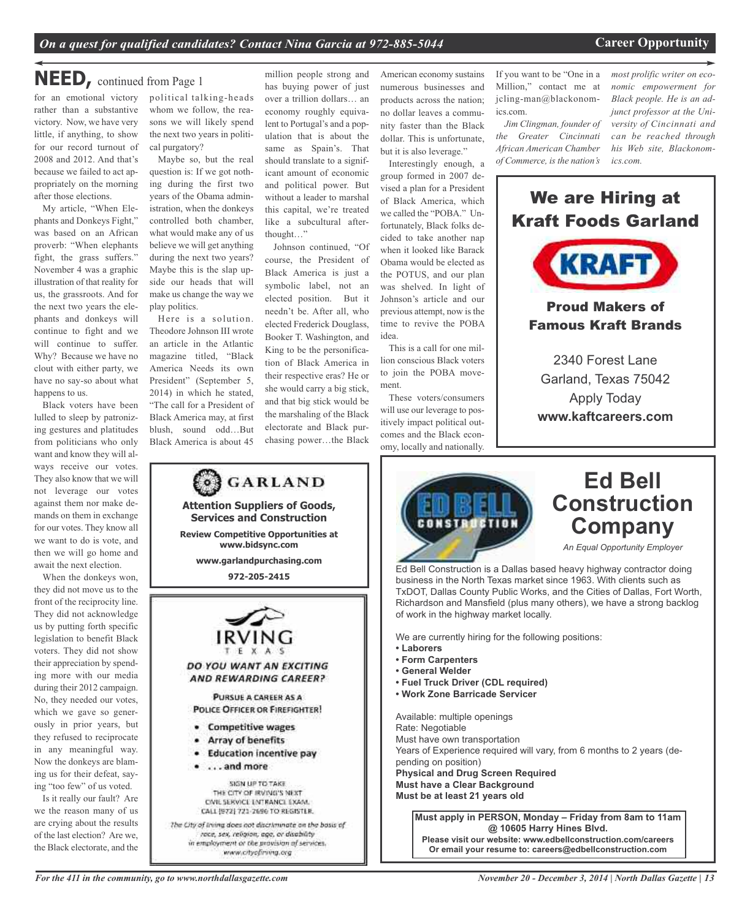## **NEED,** continued from Page <sup>1</sup>

for an emotional victory rather than a substantive victory. Now, we have very little, if anything, to show for our record turnout of 2008 and 2012. And that's because we failed to act appropriately on the morning after those elections.

My article, "When Elephants and Donkeys Fight," was based on an African proverb: "When elephants fight, the grass suffers." November 4 was a graphic illustration of that reality for us, the grassroots. And for the next two years the elephants and donkeys will continue to fight and we will continue to suffer. Why? Because we have no clout with either party, we have no say-so about what happens to us.

Black voters have been lulled to sleep by patronizing gestures and platitudes from politicians who only want and know they will always receive our votes. They also know that we will not leverage our votes against them nor make demands on them in exchange for our votes. They know all we want to do is vote, and then we will go home and await the next election.

When the donkeys won, they did not move us to the front of the reciprocity line. They did not acknowledge us by putting forth specific legislation to benefit Black voters. They did not show their appreciation by spending more with our media during their 2012 campaign. No, they needed our votes, which we gave so generously in prior years, but they refused to reciprocate in any meaningful way. Now the donkeys are blaming us for their defeat, saying "too few" of us voted.

Is it really our fault? Are we the reason many of us are crying about the results of the last election? Are we, the Black electorate, and the political talking-heads whom we follow, the reasons we will likely spend the next two years in political purgatory?

Maybe so, but the real question is: If we got nothing during the first two years of the Obama administration, when the donkeys controlled both chamber, what would make any of us believe we will get anything during the next two years? Maybe this is the slap upside our heads that will make us change the way we play politics.

Here is a solution. Theodore Johnson III wrote an article in the Atlantic magazine titled, "Black America Needs its own President" (September 5, 2014) in which he stated, "The call for a President of Black America may, at first blush, sound odd…But Black America is about 45

million people strong and has buying power of just over a trillion dollars… an economy roughly equivalent to Portugal's and a population that is about the same as Spain's. That should translate to a significant amount of economic and political power. But without a leader to marshal this capital, we're treated like a subcultural afterthought…"

Johnson continued, "Of course, the President of Black America is just a symbolic label, not an elected position. But it needn't be. After all, who elected Frederick Douglass, Booker T. Washington, and King to be the personification of Black America in their respective eras? He or she would carry a big stick, and that big stick would be the marshaling of the Black electorate and Black purchasing power…the Black

American economy sustains numerous businesses and products across the nation; no dollar leaves a community faster than the Black dollar. This is unfortunate, but it is also leverage."

Interestingly enough, a group formed in 2007 devised a plan for a President of Black America, which we called the "POBA." Unfortunately, Black folks decided to take another nap when it looked like Barack Obama would be elected as the POTUS, and our plan was shelved. In light of Johnson's article and our previous attempt, now is the time to revive the POBA idea.

This is a call for one million conscious Black voters to join the POBA movement.

These voters/consumers will use our leverage to positively impact political outcomes and the Black economy, locally and nationally.

If you want to be "One in a Million," contact me at jcling-man@blackonomics.com.

*Jim Clingman, founder of the Greater Cincinnati African American Chamber of Commerce, is the nation's*

*most prolific writer on economic empowerment for Black people. He is an adjunct professor at the University of Cincinnati and can be reached through his Web site, Blackonomics.com.*



2340 Forest Lane Garland, Texas 75042 Apply Today **www.kaftcareers.com**



## **Ed Bell Construction Company**

*An Equal Opportunity Employer*

 Ed Bell Construction is a Dallas based heavy highway contractor doing pusiness in the North Texas market since 1963. With clients such as<br>TxDOT, Dallas County Public Works, and the Cities of Dallas, Fort Worth, business in the North Texas market since 1963. With clients such as Richardson and Mansfield (plus many others), we have a strong backlog of work in the highway market locally.

We are currently hiring for the following positions:

- **• Laborers**
- **• Form Carpenters**
- M **• General Welder**
- **• Fuel Truck Driver (CDL required)**
- **P • Work Zone Barricade Servicer**

**M**  Available: multiple openings widst have own transportation<br>Years of Experience required will vary, from 6 months to 2 years (de-Rate: Negotiable Must have own transportation pending on position) **Physical and Drug Screen Required Must have a Clear Background Must be at least 21 years old**

**Must apply in PERSON, Monday – Friday from 8am to 11am @ 10605 Harry Hines Blvd. Please visit our website: www.edbellconstruction.com/careers Or email your resume to: careers@edbellconstruction.com**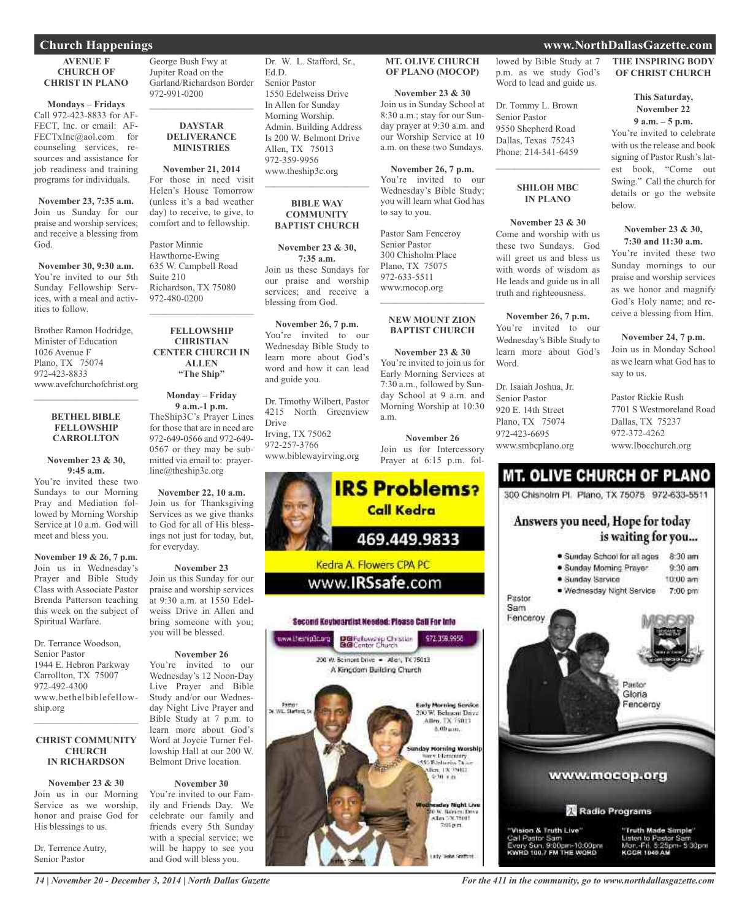### **Church Happenings www.NorthDallasGazette.com**

### **AVENUE F CHURCH OF CHRIST IN PLANO**

**Mondays – Fridays** Call 972-423-8833 for AF-FECT, Inc. or email: AF-FECTxInc@aol.com for counseling services, resources and assistance for job readiness and training programs for individuals.

**November 23, 7:35 a.m.** Join us Sunday for our praise and worship services; and receive a blessing from God.

**November 30, 9:30 a.m.** You're invited to our 5th Sunday Fellowship Services, with a meal and activities to follow.

Brother Ramon Hodridge, Minister of Education 1026 Avenue F Plano, TX 75074 972-423-8833 www.avefchurchofchrist.org

#### **BETHEL BIBLE FELLOWSHIP CARROLLTON**

 $\mathcal{L}$  , and the set of the set of the set of the set of the set of the set of the set of the set of the set of the set of the set of the set of the set of the set of the set of the set of the set of the set of the set

### **November 23 & 30, 9:45 a.m.**

You're invited these two Sundays to our Morning Pray and Mediation followed by Morning Worship Service at 10 a.m. God will meet and bless you.

**November 19 & 26, 7 p.m.** Join us in Wednesday's Prayer and Bible Study Class with Associate Pastor Brenda Patterson teaching this week on the subject of Spiritual Warfare.

Dr. Terrance Woodson, Senior Pastor 1944 E. Hebron Parkway Carrollton, TX 75007 972-492-4300 www.bethelbiblefellowship.org

### **CHRIST COMMUNITY CHURCH IN RICHARDSON**

 $\mathcal{L}_\text{max}$  , which is a set of the set of the set of the set of the set of the set of the set of the set of the set of the set of the set of the set of the set of the set of the set of the set of the set of the set of

**November 23 & 30** Join us in our Morning Service as we worship, honor and praise God for His blessings to us.

Dr. Terrence Autry, Senior Pastor

George Bush Fwy at Jupiter Road on the Garland/Richardson Border 972-991-0200

### **DAYSTAR DELIVERANCE MINISTRIES**

 $\mathcal{L}=\mathcal{L}^{\mathcal{L}}$  , where  $\mathcal{L}^{\mathcal{L}}$  , we have the set of the set of the set of the set of the set of the set of the set of the set of the set of the set of the set of the set of the set of the set of the set of

**November 21, 2014** For those in need visit Helen's House Tomorrow (unless it's a bad weather day) to receive, to give, to comfort and to fellowship.

Pastor Minnie Hawthorne-Ewing 635 W. Campbell Road Suite 210 Richardson, TX 75080 972-480-0200

### **FELLOWSHIP CHRISTIAN CENTER CHURCH IN ALLEN "The Ship"**

 $\overline{\phantom{a}}$  , and the set of the set of the set of the set of the set of the set of the set of the set of the set of the set of the set of the set of the set of the set of the set of the set of the set of the set of the s

**Monday – Friday 9 a.m.-1 p.m.** TheShip3C's Prayer Lines for those that are in need are 972-649-0566 and 972-649- 0567 or they may be submitted via email to: prayerline@theship3c.org

**November 22, 10 a.m.** Join us for Thanksgiving Services as we give thanks to God for all of His blessings not just for today, but, for everyday.

**November 23**

Join us this Sunday for our praise and worship services at 9:30 a.m. at 1550 Edelweiss Drive in Allen and bring someone with you; you will be blessed.

#### **November 26**

You're invited to our Wednesday's 12 Noon-Day Live Prayer and Bible Study and/or our Wednesday Night Live Prayer and Bible Study at 7 p.m. to learn more about God's Word at Joycie Turner Fellowship Hall at our 200 W. Belmont Drive location.

#### **November 30** You're invited to our Family and Friends Day. We celebrate our family and friends every 5th Sunday with a special service; we will be happy to see you and God will bless you.

Dr. W. L. Stafford, Sr., Ed.D. Senior Pastor 1550 Edelweiss Drive In Allen for Sunday Morning Worship. Admin. Building Address Is 200 W. Belmont Drive Allen, TX 75013 972-359-9956

> **BIBLE WAY COMMUNITY BAPTIST CHURCH**

 $\overline{\phantom{a}}$  , and the set of the set of the set of the set of the set of the set of the set of the set of the set of the set of the set of the set of the set of the set of the set of the set of the set of the set of the s

### **November 23 & 30, 7:35 a.m.**

Join us these Sundays for our praise and worship services; and receive a blessing from God.

#### **November 26, 7 p.m.** You're invited to our Wednesday Bible Study to learn more about God's word and how it can lead and guide you.

Dr. Timothy Wilbert, Pastor 4215 North Greenview Drive Irving, TX 75062 972-257-3766 www.biblewayirving.org

www.thesnipOp.org

Pastor<br>De W.L. Starford, S

### **MT. OLIVE CHURCH OF PLANO (MOCOP)**

**November 23 & 30** Join us in Sunday School at 8:30 a.m.; stay for our Sunday prayer at 9:30 a.m. and our Worship Service at 10 a.m. on these two Sundays.

**November 26, 7 p.m.** You're invited to our Wednesday's Bible Study; you will learn what God has to say to you.

Pastor Sam Fenceroy Senior Pastor 300 Chisholm Place Plano, TX 75075 972-633-5511 www.mocop.org  $\mathcal{L}=\mathcal{L}^{\mathcal{L}}$  , where  $\mathcal{L}^{\mathcal{L}}$  , we have the set of the set of the set of the set of the set of the set of the set of the set of the set of the set of the set of the set of the set of the set of the set of

### **NEW MOUNT ZION BAPTIST CHURCH**

**November 23 & 30** You're invited to join us for Early Morning Services at 7:30 a.m., followed by Sunday School at 9 a.m. and Morning Worship at 10:30 a.m.

**November 26** Join us for Intercessory Prayer at 6:15 p.m. fol-

977 778 0055

**Early Morning Service** 290 W. Behueni Drive Allen, I.X. 75013. 8.00 um.

unday Morning Worship **Ture Licensery**<br>550 Filehoris TA<br>550 Filehoris TA

930.00

day Night Live NOW Behieve Direct<br>Allen (1967501)<br>2015 p.m.

ady light Stafford

**IRS Problems?** 

469.449.9833

**Call Kedra** 

Kedra A. Flowers CPA PC

www.**IRSsafe.com** 

Second Keybeardist Needed: Please Call For Into

DBFelows to Christian<br>BGConter Church

200 W. Bernont Dove - Aller, TX 75013 A Kingdom Building Church



### **SHILOH MBC IN PLANO**

Dallas, Texas 75243 Phone: 214-341-6459  $\mathcal{L}_\text{max}$  and  $\mathcal{L}_\text{max}$  and  $\mathcal{L}_\text{max}$ 

### **November 23 & 30**

Come and worship with us these two Sundays. God will greet us and bless us with words of wisdom as He leads and guide us in all truth and righteousness.

**November 26, 7 p.m.** You're invited to our Wednesday's Bible Study to learn more about God's Word.

Dr. Isaiah Joshua, Jr. Senior Pastor 920 E. 14th Street Plano, TX 75074 972-423-6695 www.smbcplano.org

#### lowed by Bible Study at 7 p.m. as we study God's **THE INSPIRING BODY**

**OF CHRIST CHURCH**

**This Saturday, November 22**

**9 a.m. – 5 p.m.** You're invited to celebrate with us the release and book signing of Pastor Rush's latest book, "Come out Swing." Call the church for details or go the website below.

### **November 23 & 30, 7:30 and 11:30 a.m.**

You're invited these two Sunday mornings to our praise and worship services as we honor and magnify God's Holy name; and receive a blessing from Him.

**November 24, 7 p.m.** Join us in Monday School as we learn what God has to say to us.

Pastor Rickie Rush 7701 S Westmoreland Road Dallas, TX 75237 972-372-4262 www.Ibocchurch.org

### **MT. OLIVE CHURCH OF PLANO**

300 Chisholm Pl. Plano, TX 75075 972-633-5511

### Answers you need, Hope for today is waiting for you...



*For the 411 in the community, go to www.northdallasgazette.com*

*14 | November 20 - December 3, 2014 | North Dallas Gazette*

www.theship3c.org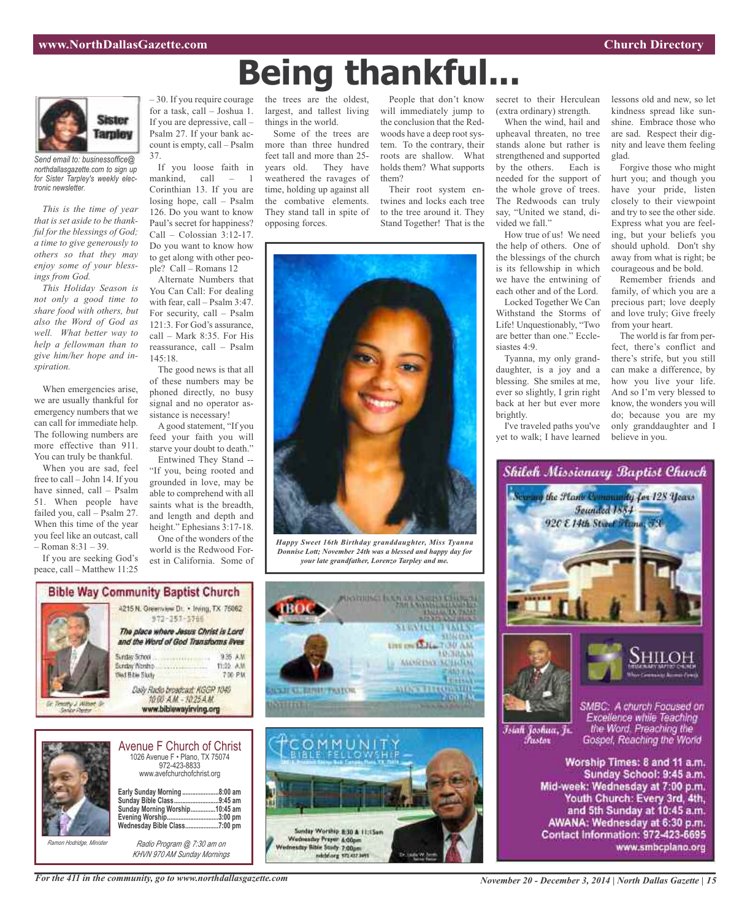

*Send email to: businessoffice@ northdallasgazette.com to sign up for Sister Tarpley's weekly electronic newsletter.*

*This is the time of year that is set aside to be thankful for the blessings of God; a time to give generously to others so that they may enjoy some of your blessings from God.*

*This Holiday Season is not only a good time to share food with others, but also the Word of God as well. What better way to help a fellowman than to give him/her hope and inspiration.*

When emergencies arise, we are usually thankful for emergency numbers that we can call for immediate help. The following numbers are more effective than 911. You can truly be thankful.

When you are sad, feel free to call – John 14. If you have sinned, call – Psalm 51. When people have failed you, call – Psalm 27. When this time of the year you feel like an outcast, call – Roman 8:31 – 39.

If you are seeking God's peace, call – Matthew 11:25

*Ramon Hodridge, Minister*

– 30. If you require courage for a task, call – Joshua 1. If you are depressive, call – Psalm 27. If your bank account is empty, call – Psalm 37.

If you loose faith in mankind, call  $-1$ Corinthian 13. If you are losing hope, call – Psalm 126. Do you want to know Paul's secret for happiness? Call – Colossian 3:12-17. Do you want to know how to get along with other people? Call – Romans 12

Alternate Numbers that You Can Call: For dealing with fear, call – Psalm 3:47. For security, call – Psalm 121:3. For God's assurance, call – Mark 8:35. For His reassurance, call – Psalm 145:18.

The good news is that all of these numbers may be phoned directly, no busy signal and no operator assistance is necessary!

A good statement, "If you feed your faith you will starve your doubt to death."

Entwined They Stand -- "If you, being rooted and grounded in love, may be able to comprehend with all saints what is the breadth, and length and depth and height." Ephesians 3:17-18. One of the wonders of the

world is the Redwood Forest in California. Some of the trees are the oldest, largest, and tallest living things in the world.

**Being thankful...**

Some of the trees are more than three hundred feet tall and more than 25 years old. They have weathered the ravages of time, holding up against all the combative elements. They stand tall in spite of opposing forces.

People that don't know will immediately jump to the conclusion that the Redwoods have a deep root system. To the contrary, their roots are shallow. What holds them? What supports them?

Their root system entwines and locks each tree to the tree around it. They Stand Together! That is the



*Happy Sweet 16th Birthday granddaughter, Miss Tyanna Donnise Lott; November 24th was a blessed and happy day for your late grandfather, Lorenzo Tarpley and me.*



**Wednesday Bible Class.** *Radio Program @ 7:30 am on KHVN 970 AM Sunday Mornings*



(extra ordinary) strength. When the wind, hail and upheaval threaten, no tree

stands alone but rather is strengthened and supported by the others. Each is needed for the support of the whole grove of trees. The Redwoods can truly say, "United we stand, divided we fall."

secret to their Herculean

How true of us! We need the help of others. One of the blessings of the church is its fellowship in which we have the entwining of each other and of the Lord.

Locked Together We Can Withstand the Storms of Life! Unquestionably, "Two are better than one." Ecclesiastes 4:9.

Tyanna, my only granddaughter, is a joy and a blessing. She smiles at me, ever so slightly, I grin right back at her but ever more brightly.

I've traveled paths you've yet to walk; I have learned lessons old and new, so let kindness spread like sunshine. Embrace those who are sad. Respect their dignity and leave them feeling glad.

Forgive those who might hurt you; and though you have your pride, listen closely to their viewpoint and try to see the other side. Express what you are feeling, but your beliefs you should uphold. Don't shy away from what is right; be courageous and be bold.

Remember friends and family, of which you are a precious part; love deeply and love truly; Give freely from your heart.

The world is far from perfect, there's conflict and there's strife, but you still can make a difference, by how you live your life. And so I'm very blessed to know, the wonders you will do; because you are my only granddaughter and I believe in you.



Worship Times: 8 and 11 a.m. Sunday School: 9:45 a.m. Mid-week: Wednesday at 7:00 p.m. Youth Church: Every 3rd, 4th, and 5th Sunday at 10:45 a.m. AWANA: Wednesday at 6:30 p.m. Contact Information: 972-423-6695 www.smbcplano.org

*For the 411 in the community, go to www.northdallasgazette.com*

**Sunday Morning Worship...............10:45 am Evening Worship...............................3:00 pm**